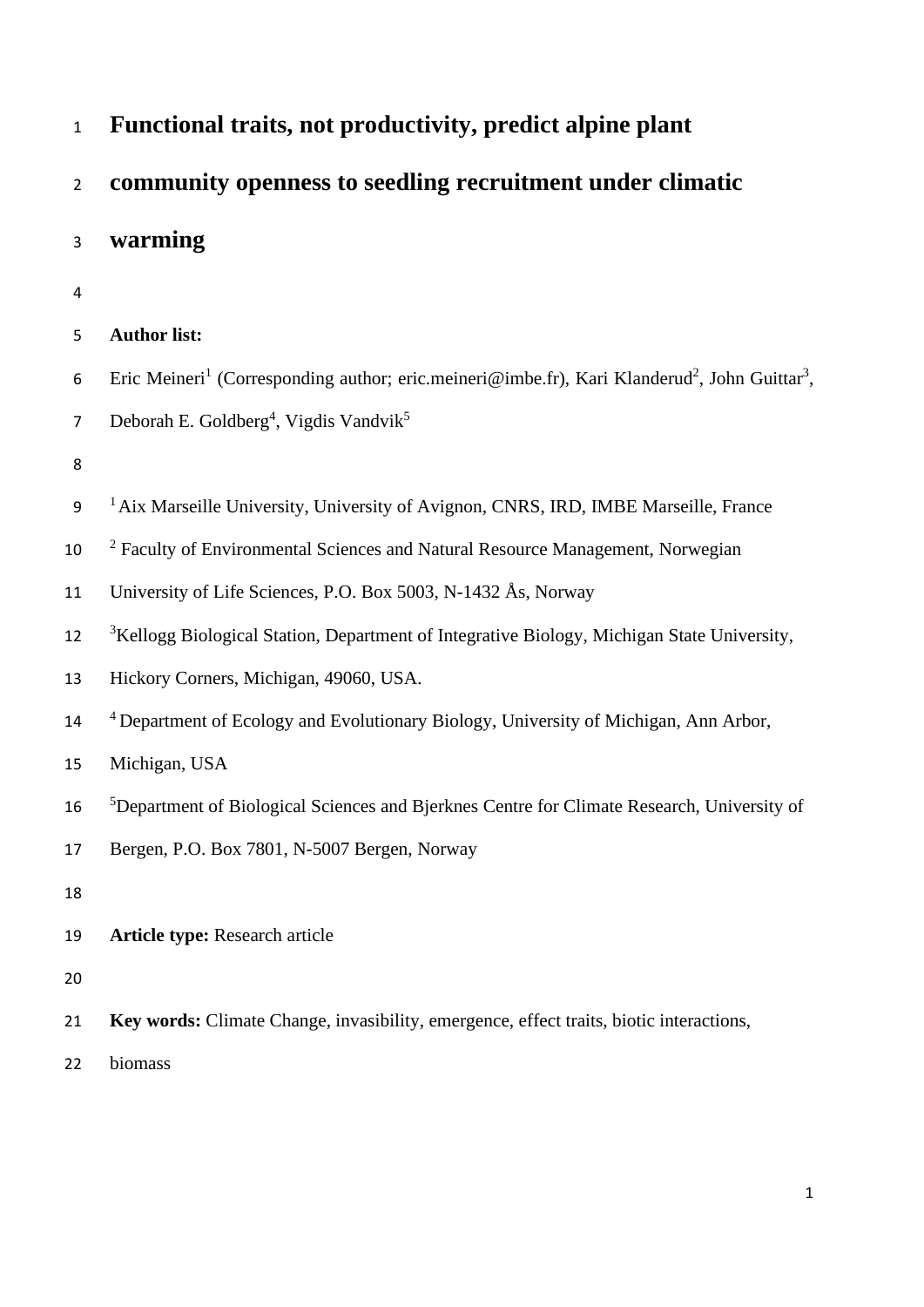| $\mathbf{1}$   | Functional traits, not productivity, predict alpine plant                                                                         |
|----------------|-----------------------------------------------------------------------------------------------------------------------------------|
| $\overline{2}$ | community openness to seedling recruitment under climatic                                                                         |
| 3              | warming                                                                                                                           |
| $\overline{4}$ |                                                                                                                                   |
| 5              | <b>Author list:</b>                                                                                                               |
| 6              | Eric Meineri <sup>1</sup> (Corresponding author; eric.meineri@imbe.fr), Kari Klanderud <sup>2</sup> , John Guittar <sup>3</sup> , |
| 7              | Deborah E. Goldberg <sup>4</sup> , Vigdis Vandvik <sup>5</sup>                                                                    |
| 8              |                                                                                                                                   |
| 9              | <sup>1</sup> Aix Marseille University, University of Avignon, CNRS, IRD, IMBE Marseille, France                                   |
| 10             | <sup>2</sup> Faculty of Environmental Sciences and Natural Resource Management, Norwegian                                         |
| 11             | University of Life Sciences, P.O. Box 5003, N-1432 Ås, Norway                                                                     |
| 12             | <sup>3</sup> Kellogg Biological Station, Department of Integrative Biology, Michigan State University,                            |
| 13             | Hickory Corners, Michigan, 49060, USA.                                                                                            |
| 14             | <sup>4</sup> Department of Ecology and Evolutionary Biology, University of Michigan, Ann Arbor,                                   |
| 15             | Michigan, USA                                                                                                                     |
| 16             | <sup>5</sup> Department of Biological Sciences and Bjerknes Centre for Climate Research, University of                            |
| 17             | Bergen, P.O. Box 7801, N-5007 Bergen, Norway                                                                                      |
| 18             |                                                                                                                                   |
| 19             | <b>Article type: Research article</b>                                                                                             |
| 20             |                                                                                                                                   |
| 21             | Key words: Climate Change, invasibility, emergence, effect traits, biotic interactions,                                           |
| 22             | biomass                                                                                                                           |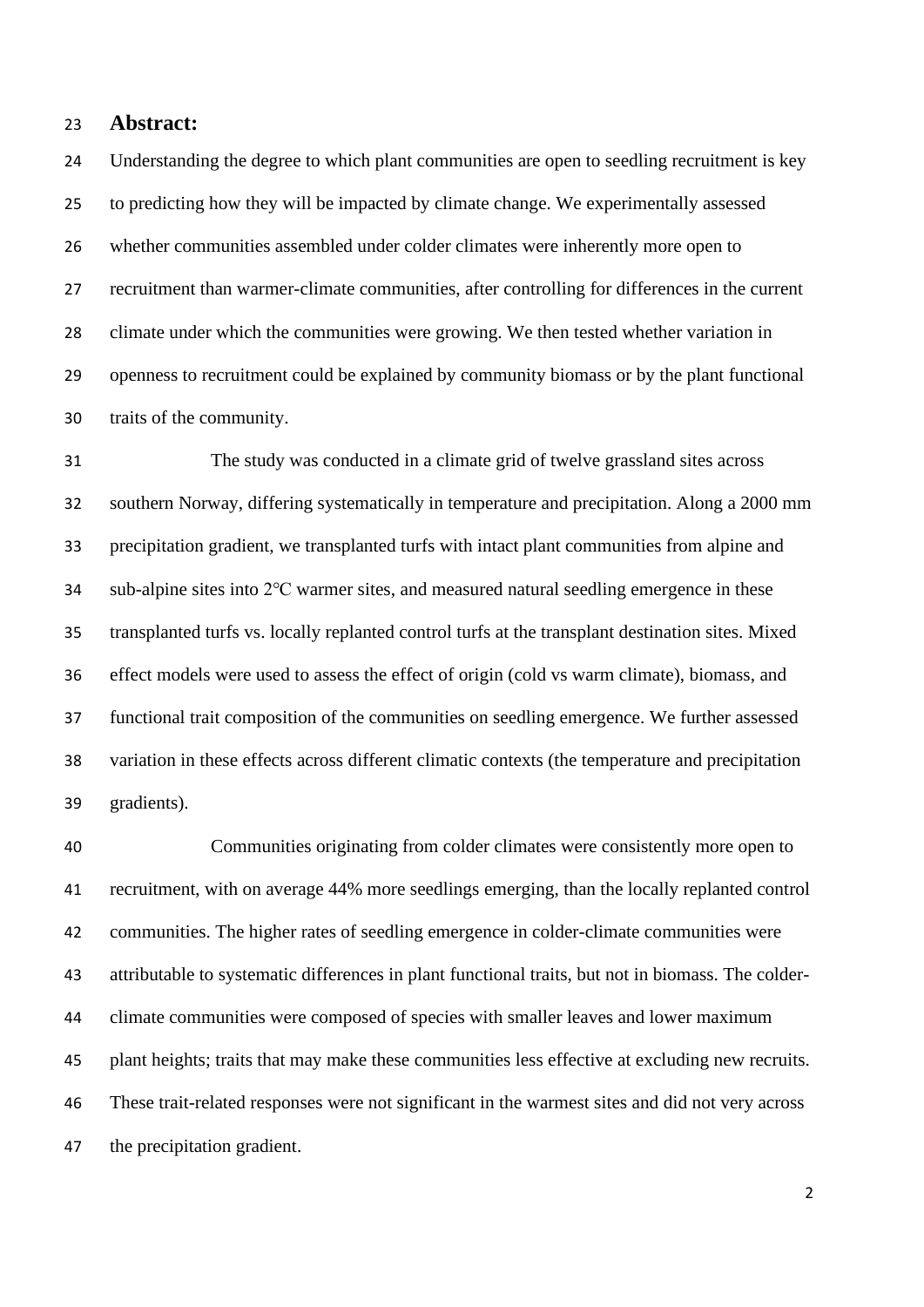## **Abstract:**

 Understanding the degree to which plant communities are open to seedling recruitment is key to predicting how they will be impacted by climate change. We experimentally assessed whether communities assembled under colder climates were inherently more open to recruitment than warmer-climate communities, after controlling for differences in the current climate under which the communities were growing. We then tested whether variation in openness to recruitment could be explained by community biomass or by the plant functional traits of the community.

 The study was conducted in a climate grid of twelve grassland sites across southern Norway, differing systematically in temperature and precipitation. Along a 2000 mm precipitation gradient, we transplanted turfs with intact plant communities from alpine and sub-alpine sites into 2℃ warmer sites, and measured natural seedling emergence in these transplanted turfs vs. locally replanted control turfs at the transplant destination sites. Mixed effect models were used to assess the effect of origin (cold vs warm climate), biomass, and functional trait composition of the communities on seedling emergence. We further assessed variation in these effects across different climatic contexts (the temperature and precipitation gradients).

 Communities originating from colder climates were consistently more open to recruitment, with on average 44% more seedlings emerging, than the locally replanted control communities. The higher rates of seedling emergence in colder-climate communities were attributable to systematic differences in plant functional traits, but not in biomass. The colder- climate communities were composed of species with smaller leaves and lower maximum plant heights; traits that may make these communities less effective at excluding new recruits. These trait-related responses were not significant in the warmest sites and did not very across the precipitation gradient.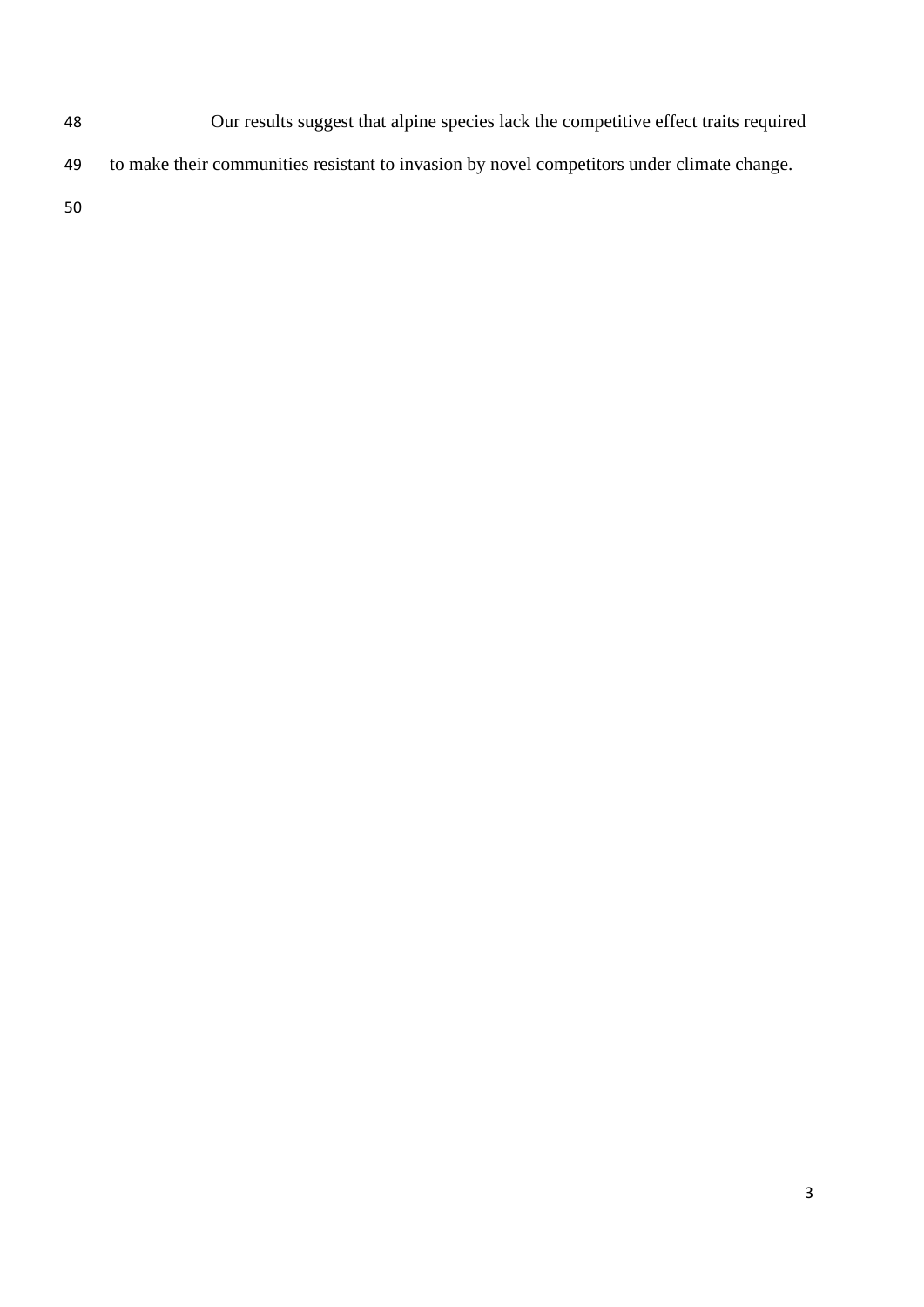- Our results suggest that alpine species lack the competitive effect traits required
- to make their communities resistant to invasion by novel competitors under climate change.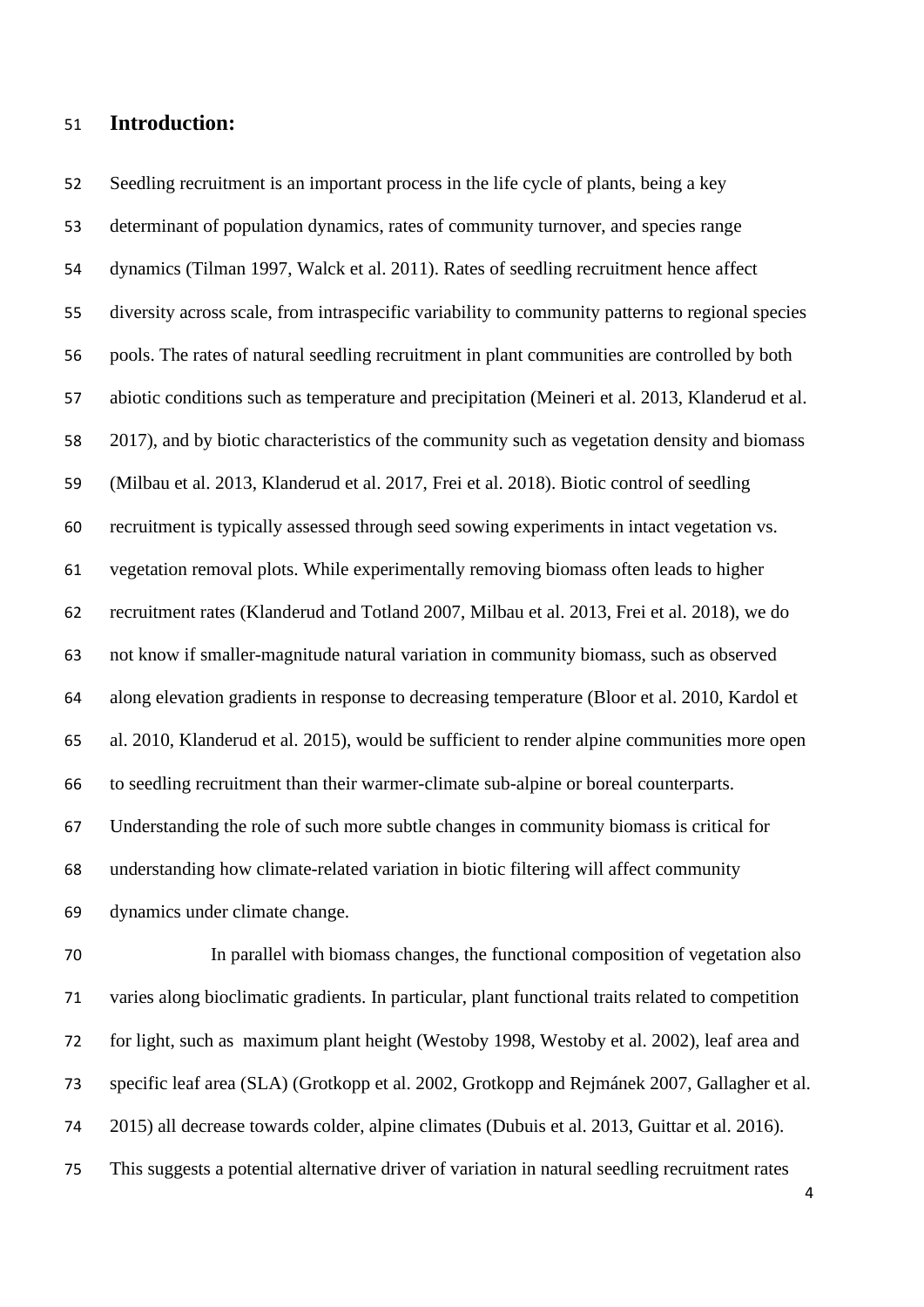## **Introduction:**

 Seedling recruitment is an important process in the life cycle of plants, being a key determinant of population dynamics, rates of community turnover, and species range dynamics [\(Tilman 1997,](#page-23-0) [Walck et al. 2011\)](#page-24-0). Rates of seedling recruitment hence affect diversity across scale, from intraspecific variability to community patterns to regional species pools. The rates of natural seedling recruitment in plant communities are controlled by both abiotic conditions such as temperature and precipitation [\(Meineri et al. 2013,](#page-22-0) [Klanderud et al.](#page-22-1)  [2017\)](#page-22-1), and by biotic characteristics of the community such as vegetation density and biomass [\(Milbau et al. 2013,](#page-22-2) [Klanderud et al. 2017,](#page-22-1) [Frei et al. 2018\)](#page-20-0). Biotic control of seedling recruitment is typically assessed through seed sowing experiments in intact vegetation vs. vegetation removal plots. While experimentally removing biomass often leads to higher recruitment rates [\(Klanderud and Totland 2007,](#page-22-3) [Milbau et al. 2013,](#page-22-2) [Frei et al. 2018\)](#page-20-0), we do not know if smaller-magnitude natural variation in community biomass, such as observed along elevation gradients in response to decreasing temperature [\(Bloor et al. 2010,](#page-20-1) [Kardol et](#page-22-4)  [al. 2010,](#page-22-4) [Klanderud et al. 2015\)](#page-22-5), would be sufficient to render alpine communities more open to seedling recruitment than their warmer-climate sub-alpine or boreal counterparts. Understanding the role of such more subtle changes in community biomass is critical for understanding how climate-related variation in biotic filtering will affect community dynamics under climate change.

 In parallel with biomass changes, the functional composition of vegetation also varies along bioclimatic gradients. In particular, plant functional traits related to competition for light, such as maximum plant height [\(Westoby 1998,](#page-24-1) [Westoby et al. 2002\)](#page-24-2), leaf area and specific leaf area (SLA) [\(Grotkopp et al. 2002,](#page-21-0) [Grotkopp and Rejmánek 2007,](#page-21-1) [Gallagher et al.](#page-20-2)  [2015\)](#page-20-2) all decrease towards colder, alpine climates [\(Dubuis et al. 2013,](#page-20-3) [Guittar et al. 2016\)](#page-21-2). This suggests a potential alternative driver of variation in natural seedling recruitment rates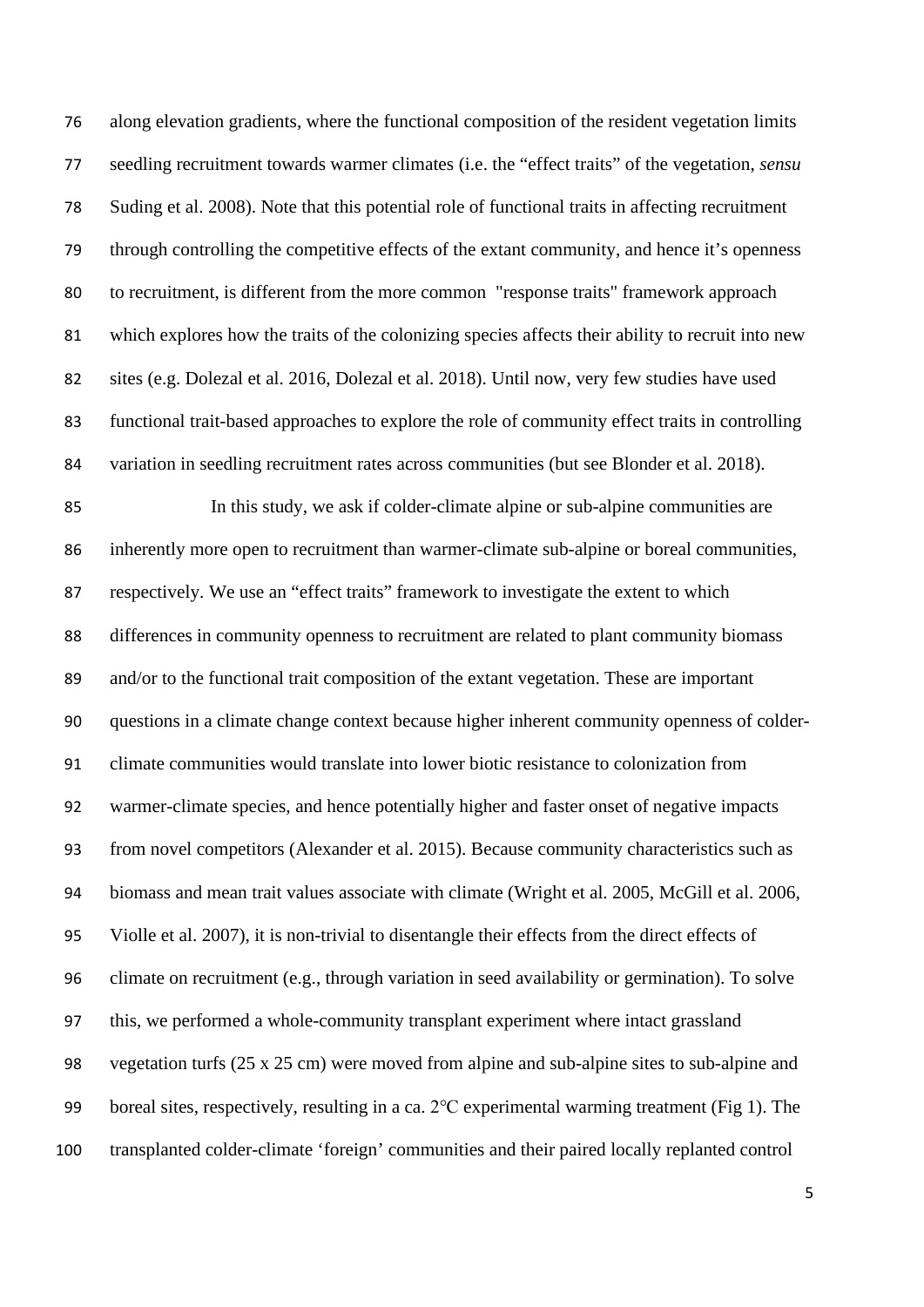along elevation gradients, where the functional composition of the resident vegetation limits seedling recruitment towards warmer climates [\(i.e. the "effect traits" of the vegetation,](#page-23-1) *sensu* [Suding et al. 2008\)](#page-23-1). Note that this potential role of functional traits in affecting recruitment through controlling the competitive effects of the extant community, and hence it's openness to recruitment, is different from the more common "response traits" framework approach which explores how the traits of the colonizing species affects their ability to recruit into new sites (e.g. [Dolezal et al. 2016,](#page-20-4) [Dolezal et al. 2018\)](#page-20-5). Until now, very few studies have used functional trait-based approaches to explore the role of community effect traits in controlling variation in seedling recruitment rates across communities [\(but see Blonder et al. 2018\)](#page-20-6). In this study, we ask if colder-climate alpine or sub-alpine communities are

 inherently more open to recruitment than warmer-climate sub-alpine or boreal communities, respectively. We use an "effect traits" framework to investigate the extent to which differences in community openness to recruitment are related to plant community biomass and/or to the functional trait composition of the extant vegetation. These are important questions in a climate change context because higher inherent community openness of colder- climate communities would translate into lower biotic resistance to colonization from warmer-climate species, and hence potentially higher and faster onset of negative impacts from novel competitors [\(Alexander et al. 2015\)](#page-19-0). Because community characteristics such as biomass and mean trait values associate with climate [\(Wright et al. 2005,](#page-24-3) [McGill et al. 2006,](#page-22-6) [Violle et al. 2007\)](#page-24-4), it is non-trivial to disentangle their effects from the direct effects of climate on recruitment (e.g., through variation in seed availability or germination). To solve this, we performed a whole-community transplant experiment where intact grassland vegetation turfs (25 x 25 cm) were moved from alpine and sub-alpine sites to sub-alpine and boreal sites, respectively, resulting in a ca. 2℃ experimental warming treatment (Fig 1). The transplanted colder-climate 'foreign' communities and their paired locally replanted control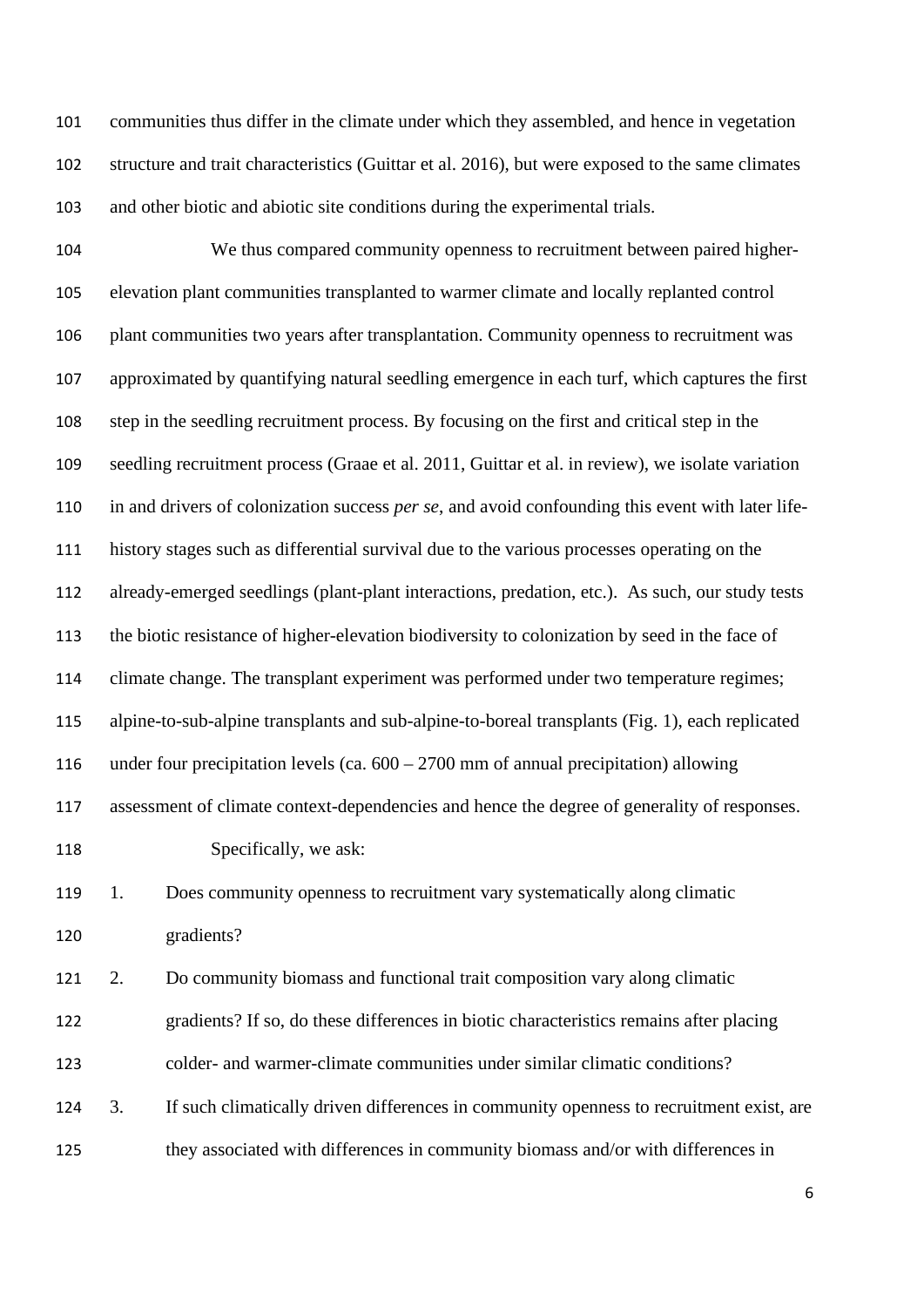communities thus differ in the climate under which they assembled, and hence in vegetation structure and trait characteristics [\(Guittar et al. 2016\)](#page-21-2), but were exposed to the same climates and other biotic and abiotic site conditions during the experimental trials.

 We thus compared community openness to recruitment between paired higher- elevation plant communities transplanted to warmer climate and locally replanted control plant communities two years after transplantation. Community openness to recruitment was approximated by quantifying natural seedling emergence in each turf, which captures the first step in the seedling recruitment process. By focusing on the first and critical step in the seedling recruitment process [\(Graae et al. 2011,](#page-21-3) [Guittar et al. in review\)](#page-21-4), we isolate variation in and drivers of colonization success *per se*, and avoid confounding this event with later life- history stages such as differential survival due to the various processes operating on the already-emerged seedlings (plant-plant interactions, predation, etc.). As such, our study tests the biotic resistance of higher-elevation biodiversity to colonization by seed in the face of climate change. The transplant experiment was performed under two temperature regimes; alpine-to-sub-alpine transplants and sub-alpine-to-boreal transplants (Fig. 1), each replicated under four precipitation levels (ca. 600 – 2700 mm of annual precipitation) allowing assessment of climate context-dependencies and hence the degree of generality of responses. 118 Specifically, we ask: 1. Does community openness to recruitment vary systematically along climatic gradients? 2. Do community biomass and functional trait composition vary along climatic gradients? If so, do these differences in biotic characteristics remains after placing colder- and warmer-climate communities under similar climatic conditions?

 3. If such climatically driven differences in community openness to recruitment exist, are they associated with differences in community biomass and/or with differences in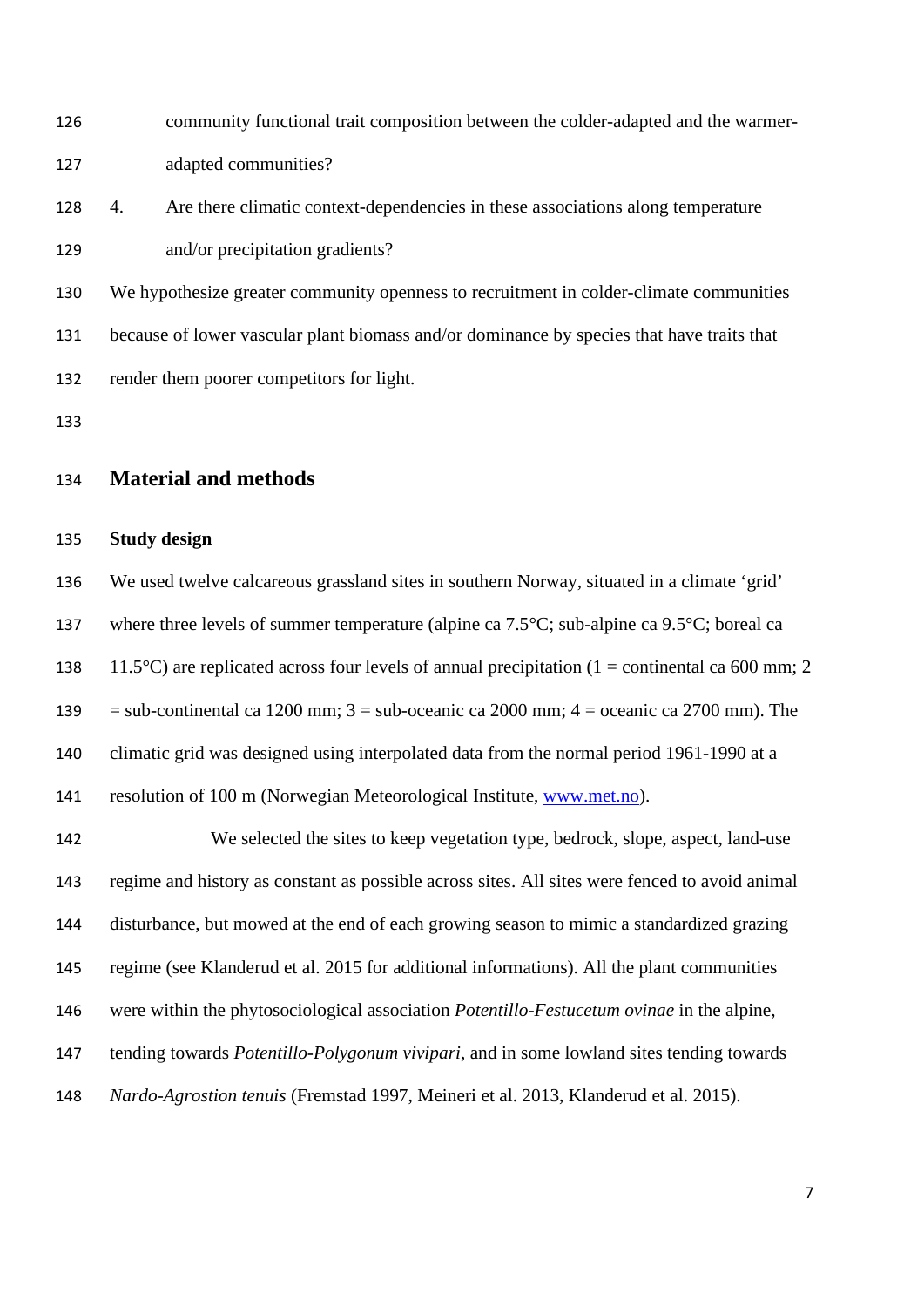| 126 |    | community functional trait composition between the colder-adapted and the warmer-         |
|-----|----|-------------------------------------------------------------------------------------------|
| 127 |    | adapted communities?                                                                      |
| 128 | 4. | Are there climatic context-dependencies in these associations along temperature           |
| 129 |    | and/or precipitation gradients?                                                           |
| 130 |    | We hypothesize greater community openness to recruitment in colder-climate communities    |
| 131 |    | because of lower vascular plant biomass and/or dominance by species that have traits that |
| 132 |    | render them poorer competitors for light.                                                 |
| 133 |    |                                                                                           |
|     |    |                                                                                           |

## **Material and methods**

## **Study design**

 We used twelve calcareous grassland sites in southern Norway, situated in a climate 'grid' 137 where three levels of summer temperature (alpine ca 7.5°C; sub-alpine ca 9.5°C; boreal ca 138 11.5°C) are replicated across four levels of annual precipitation (1 = continental ca 600 mm; 2 139 = sub-continental ca 1200 mm;  $3 =$  sub-oceanic ca 2000 mm;  $4 =$  oceanic ca 2700 mm). The climatic grid was designed using interpolated data from the normal period 1961-1990 at a resolution of 100 m (Norwegian Meteorological Institute, [www.met.no\)](http://www.met.no/).

 We selected the sites to keep vegetation type, bedrock, slope, aspect, land-use regime and history as constant as possible across sites. All sites were fenced to avoid animal disturbance, but mowed at the end of each growing season to mimic a standardized grazing regime [\(see Klanderud et al. 2015 for additional informations\)](#page-22-5). All the plant communities were within the phytosociological association *Potentillo-Festucetum ovinae* in the alpine, tending towards *Potentillo-Polygonum vivipari*, and in some lowland sites tending towards *Nardo-Agrostion tenuis* [\(Fremstad 1997,](#page-20-7) [Meineri et al. 2013,](#page-22-0) [Klanderud et al. 2015\)](#page-22-5).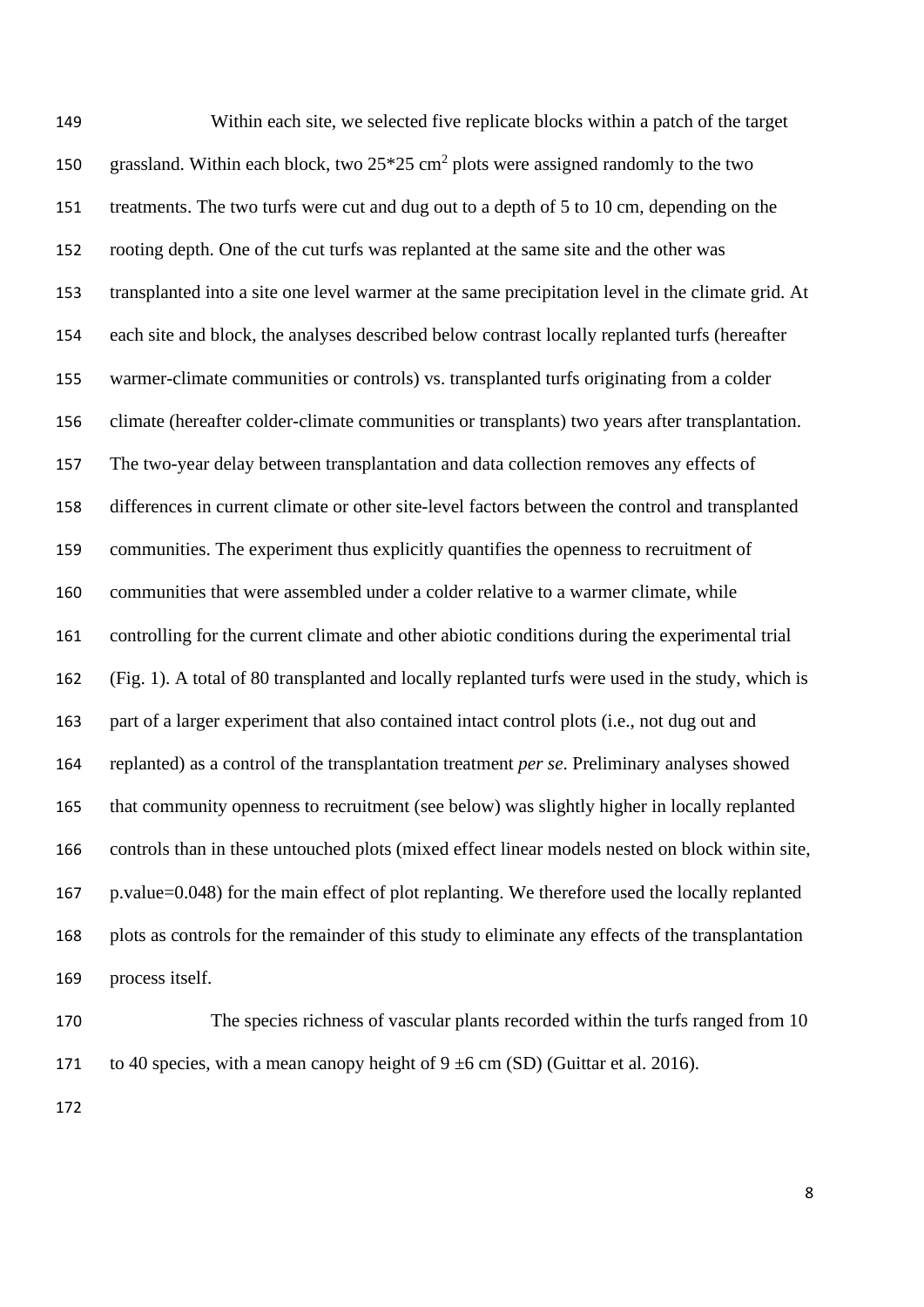Within each site, we selected five replicate blocks within a patch of the target 150 grassland. Within each block, two  $25*25$  cm<sup>2</sup> plots were assigned randomly to the two treatments. The two turfs were cut and dug out to a depth of 5 to 10 cm, depending on the rooting depth. One of the cut turfs was replanted at the same site and the other was transplanted into a site one level warmer at the same precipitation level in the climate grid. At each site and block, the analyses described below contrast locally replanted turfs (hereafter warmer-climate communities or controls) vs. transplanted turfs originating from a colder climate (hereafter colder-climate communities or transplants) two years after transplantation. The two-year delay between transplantation and data collection removes any effects of differences in current climate or other site-level factors between the control and transplanted communities. The experiment thus explicitly quantifies the openness to recruitment of communities that were assembled under a colder relative to a warmer climate, while controlling for the current climate and other abiotic conditions during the experimental trial (Fig. 1). A total of 80 transplanted and locally replanted turfs were used in the study, which is part of a larger experiment that also contained intact control plots (i.e., not dug out and replanted) as a control of the transplantation treatment *per se*. Preliminary analyses showed that community openness to recruitment (see below) was slightly higher in locally replanted controls than in these untouched plots (mixed effect linear models nested on block within site, p.value=0.048) for the main effect of plot replanting. We therefore used the locally replanted plots as controls for the remainder of this study to eliminate any effects of the transplantation process itself.

 The species richness of vascular plants recorded within the turfs ranged from 10 171 to 40 species, with a mean canopy height of  $9 \pm 6$  cm (SD) [\(Guittar et al. 2016\)](#page-21-2).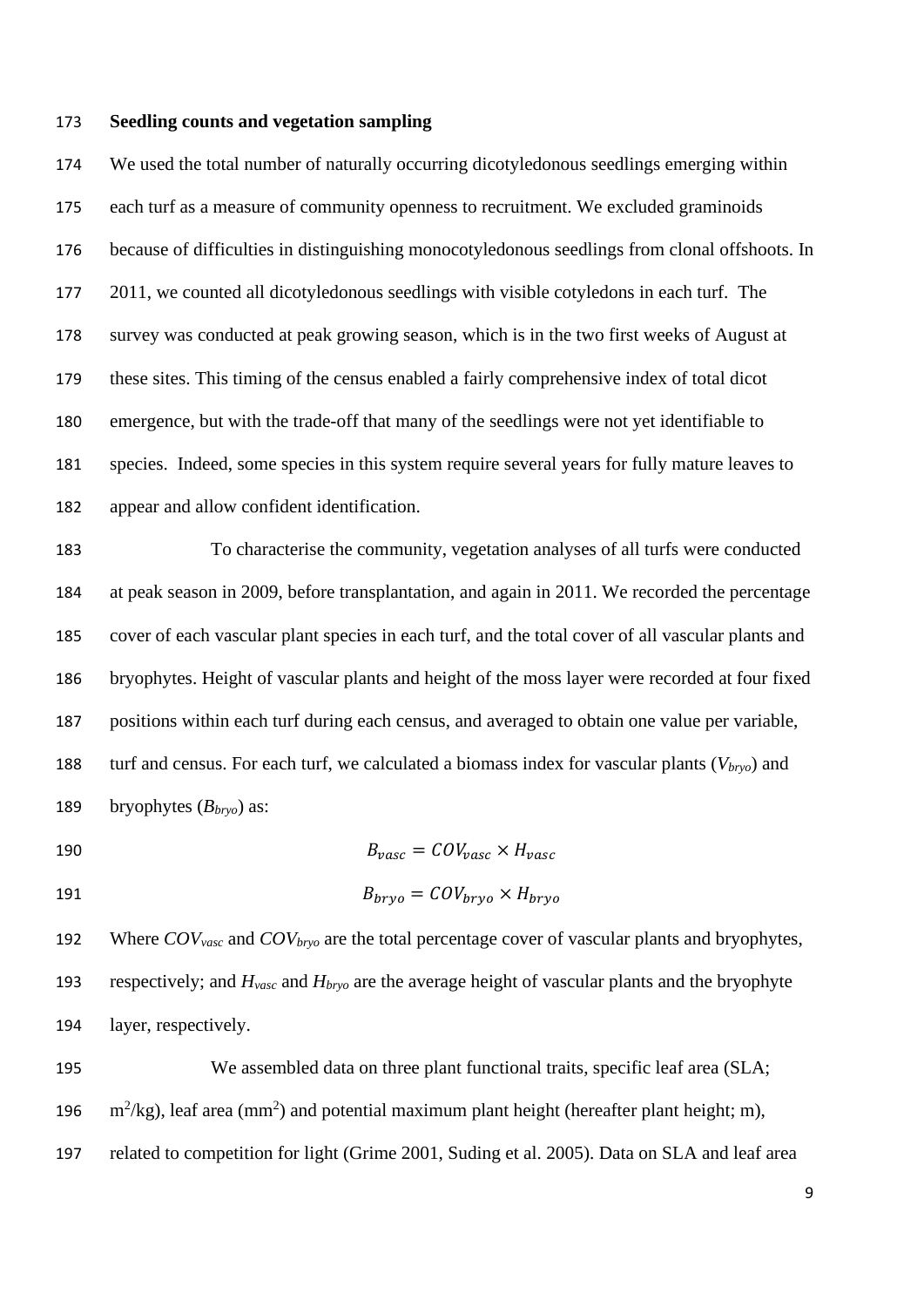#### **Seedling counts and vegetation sampling**

 We used the total number of naturally occurring dicotyledonous seedlings emerging within each turf as a measure of community openness to recruitment. We excluded graminoids because of difficulties in distinguishing monocotyledonous seedlings from clonal offshoots. In 2011, we counted all dicotyledonous seedlings with visible cotyledons in each turf. The survey was conducted at peak growing season, which is in the two first weeks of August at these sites. This timing of the census enabled a fairly comprehensive index of total dicot emergence, but with the trade-off that many of the seedlings were not yet identifiable to species. Indeed, some species in this system require several years for fully mature leaves to appear and allow confident identification.

 To characterise the community, vegetation analyses of all turfs were conducted at peak season in 2009, before transplantation, and again in 2011. We recorded the percentage cover of each vascular plant species in each turf, and the total cover of all vascular plants and bryophytes. Height of vascular plants and height of the moss layer were recorded at four fixed positions within each turf during each census, and averaged to obtain one value per variable, turf and census. For each turf, we calculated a biomass index for vascular plants (*Vbryo*) and bryophytes (*Bbryo*) as:

190  $B_{\text{vasc}} = \text{COV}_{\text{vasc}} \times H_{\text{vasc}}$ 

$$
B_{bryo} = COV_{bryo} \times H_{bryo}
$$

 Where *COVvasc* and *COVbryo* are the total percentage cover of vascular plants and bryophytes, respectively; and *Hvasc* and *Hbryo* are the average height of vascular plants and the bryophyte layer, respectively.

 We assembled data on three plant functional traits, specific leaf area (SLA; 196  $m^2/kg$ ), leaf area (mm<sup>2</sup>) and potential maximum plant height (hereafter plant height; m), related to competition for light [\(Grime 2001,](#page-21-5) [Suding et al. 2005\)](#page-23-2). Data on SLA and leaf area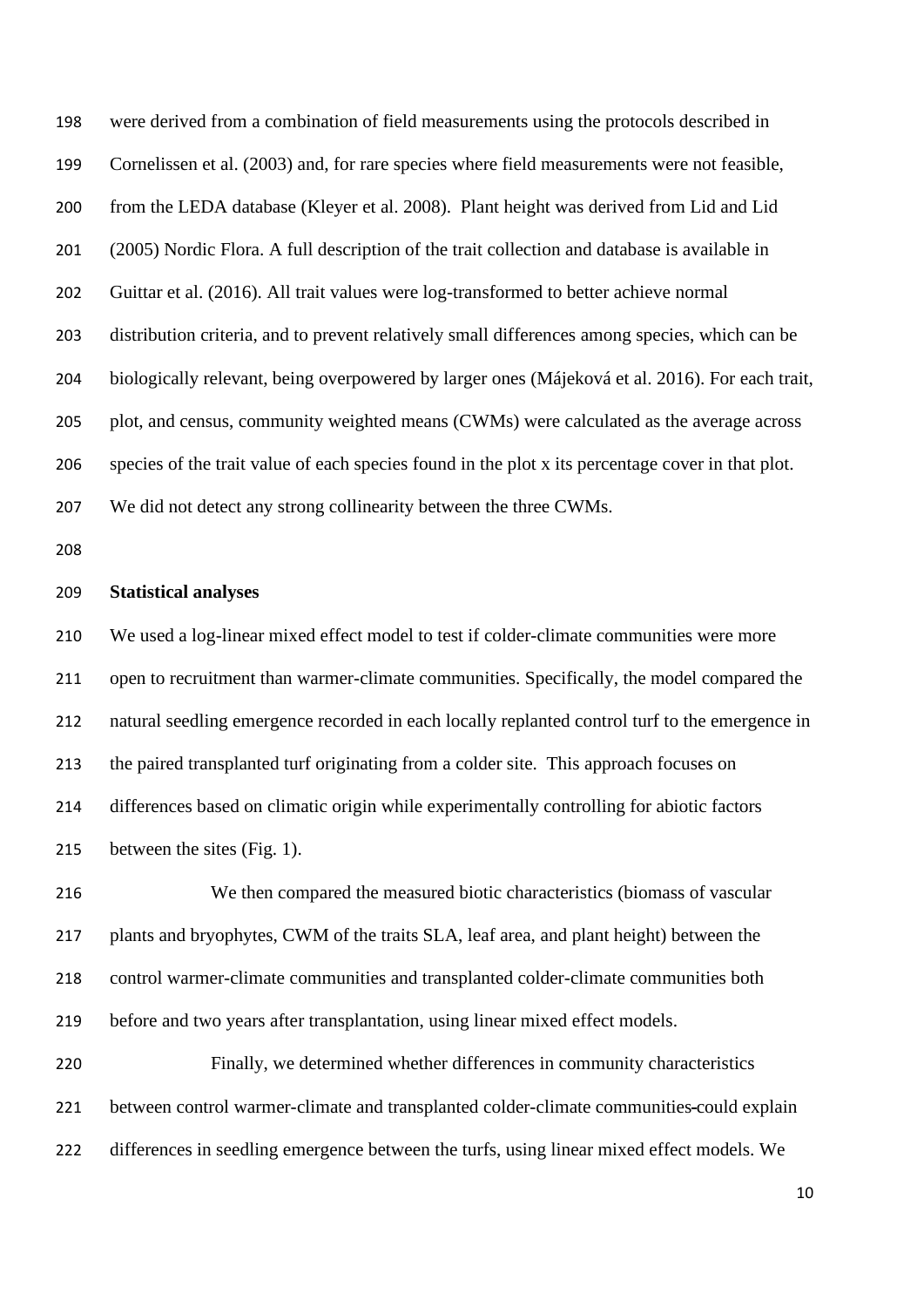were derived from a combination of field measurements using the protocols described in [Cornelissen et al. \(2003\)](#page-20-8) and, for rare species where field measurements were not feasible, from the LEDA database [\(Kleyer et al. 2008\)](#page-22-7). Plant height was derived from [Lid and Lid](#page-22-8)  [\(2005\)](#page-22-8) Nordic Flora. A full description of the trait collection and database is available in [Guittar et al. \(2016\)](#page-21-2). All trait values were log-transformed to better achieve normal distribution criteria, and to prevent relatively small differences among species, which can be biologically relevant, being overpowered by larger ones [\(Májeková et al. 2016\)](#page-22-9). For each trait, plot, and census, community weighted means (CWMs) were calculated as the average across species of the trait value of each species found in the plot x its percentage cover in that plot. We did not detect any strong collinearity between the three CWMs.

#### **Statistical analyses**

 We used a log-linear mixed effect model to test if colder-climate communities were more open to recruitment than warmer-climate communities. Specifically, the model compared the natural seedling emergence recorded in each locally replanted control turf to the emergence in the paired transplanted turf originating from a colder site. This approach focuses on differences based on climatic origin while experimentally controlling for abiotic factors between the sites (Fig. 1).

 We then compared the measured biotic characteristics (biomass of vascular plants and bryophytes, CWM of the traits SLA, leaf area, and plant height) between the control warmer-climate communities and transplanted colder-climate communities both before and two years after transplantation, using linear mixed effect models.

 Finally, we determined whether differences in community characteristics between control warmer-climate and transplanted colder-climate communities could explain differences in seedling emergence between the turfs, using linear mixed effect models. We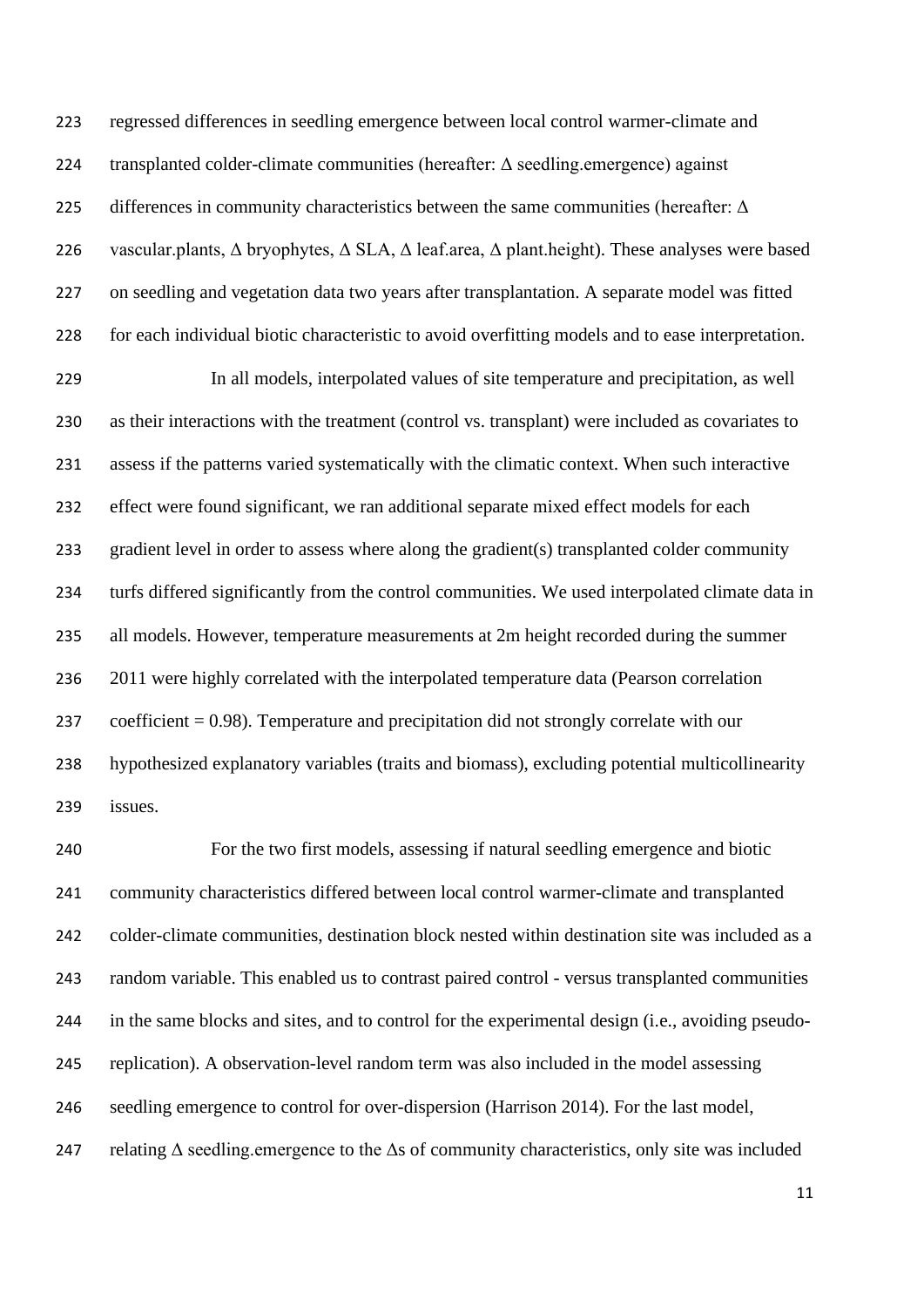regressed differences in seedling emergence between local control warmer-climate and transplanted colder-climate communities (hereafter: Δ seedling.emergence) against 225 differences in community characteristics between the same communities (hereafter:  $\Delta$ 226 vascular.plants,  $Δ$  bryophytes,  $Δ$  SLA,  $Δ$  leaf.area,  $Δ$  plant.height). These analyses were based on seedling and vegetation data two years after transplantation. A separate model was fitted for each individual biotic characteristic to avoid overfitting models and to ease interpretation.

 In all models, interpolated values of site temperature and precipitation, as well as their interactions with the treatment (control vs. transplant) were included as covariates to assess if the patterns varied systematically with the climatic context. When such interactive effect were found significant, we ran additional separate mixed effect models for each gradient level in order to assess where along the gradient(s) transplanted colder community turfs differed significantly from the control communities. We used interpolated climate data in all models. However, temperature measurements at 2m height recorded during the summer 2011 were highly correlated with the interpolated temperature data (Pearson correlation coefficient = 0.98). Temperature and precipitation did not strongly correlate with our hypothesized explanatory variables (traits and biomass), excluding potential multicollinearity issues.

 For the two first models, assessing if natural seedling emergence and biotic community characteristics differed between local control warmer-climate and transplanted colder-climate communities, destination block nested within destination site was included as a random variable. This enabled us to contrast paired control - versus transplanted communities in the same blocks and sites, and to control for the experimental design (i.e., avoiding pseudo- replication). A observation-level random term was also included in the model assessing seedling emergence to control for over-dispersion [\(Harrison 2014\)](#page-21-6). For the last model, 247 relating  $\Delta$  seedling.emergence to the  $\Delta s$  of community characteristics, only site was included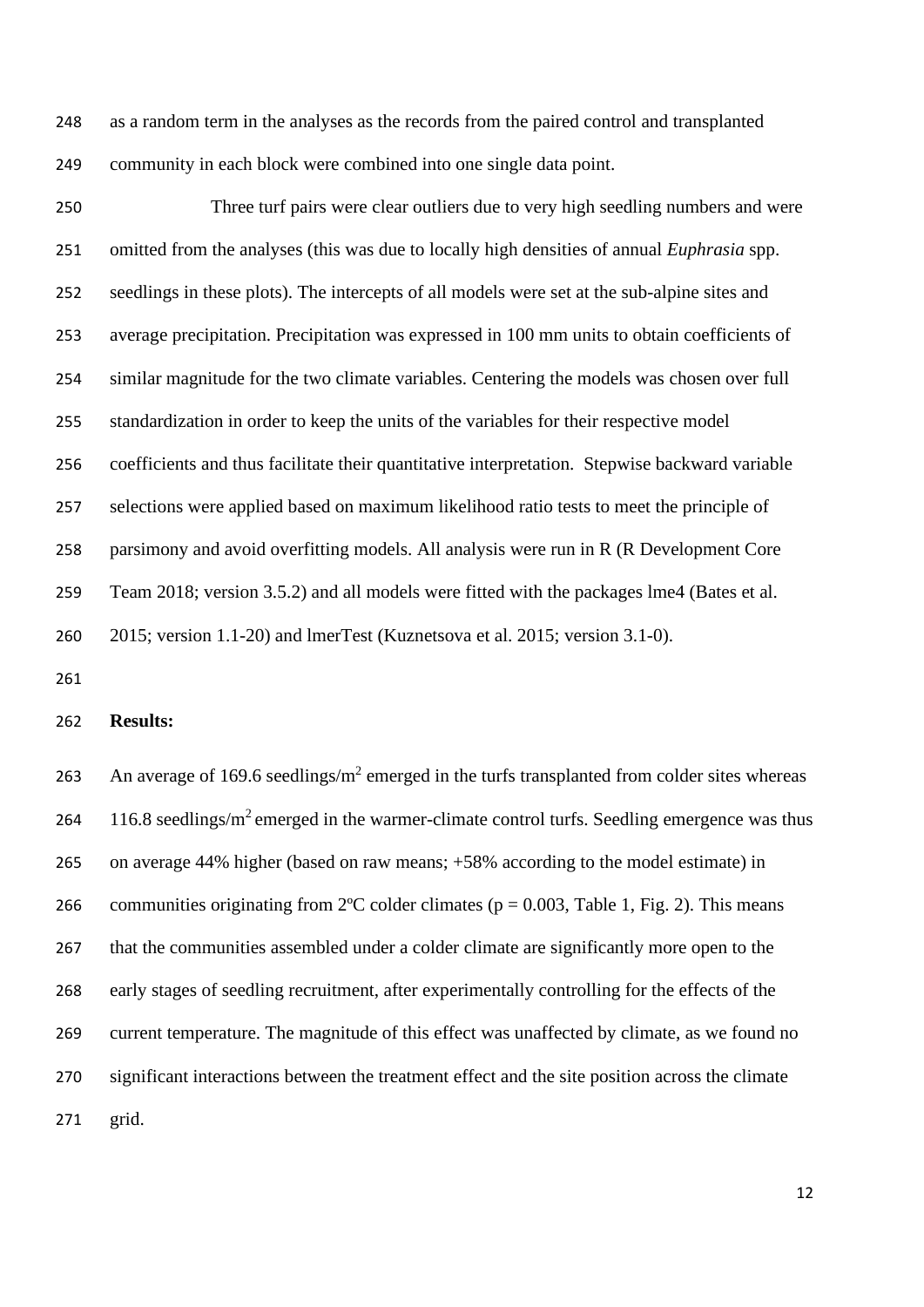as a random term in the analyses as the records from the paired control and transplanted community in each block were combined into one single data point.

 Three turf pairs were clear outliers due to very high seedling numbers and were omitted from the analyses (this was due to locally high densities of annual *Euphrasia* spp. seedlings in these plots). The intercepts of all models were set at the sub-alpine sites and average precipitation. Precipitation was expressed in 100 mm units to obtain coefficients of similar magnitude for the two climate variables. Centering the models was chosen over full standardization in order to keep the units of the variables for their respective model coefficients and thus facilitate their quantitative interpretation. Stepwise backward variable selections were applied based on maximum likelihood ratio tests to meet the principle of parsimony and avoid overfitting models. All analysis were run in R [\(R Development Core](#page-23-3)  [Team 2018; version 3.5.2\)](#page-23-3) and all models were fitted with the packages lme4 [\(Bates et al.](#page-20-9)  [2015; version 1.1-20\)](#page-20-9) and lmerTest [\(Kuznetsova et al. 2015; version 3.1-0\)](#page-22-10).

#### **Results:**

263 An average of 169.6 seedlings/ $m^2$  emerged in the turfs transplanted from colder sites whereas 264 116.8 seedlings/ $m^2$  emerged in the warmer-climate control turfs. Seedling emergence was thus on average 44% higher (based on raw means; +58% according to the model estimate) in 266 communities originating from  $2^{\circ}$ C colder climates (p = 0.003, Table 1, Fig. 2). This means that the communities assembled under a colder climate are significantly more open to the early stages of seedling recruitment, after experimentally controlling for the effects of the current temperature. The magnitude of this effect was unaffected by climate, as we found no significant interactions between the treatment effect and the site position across the climate grid.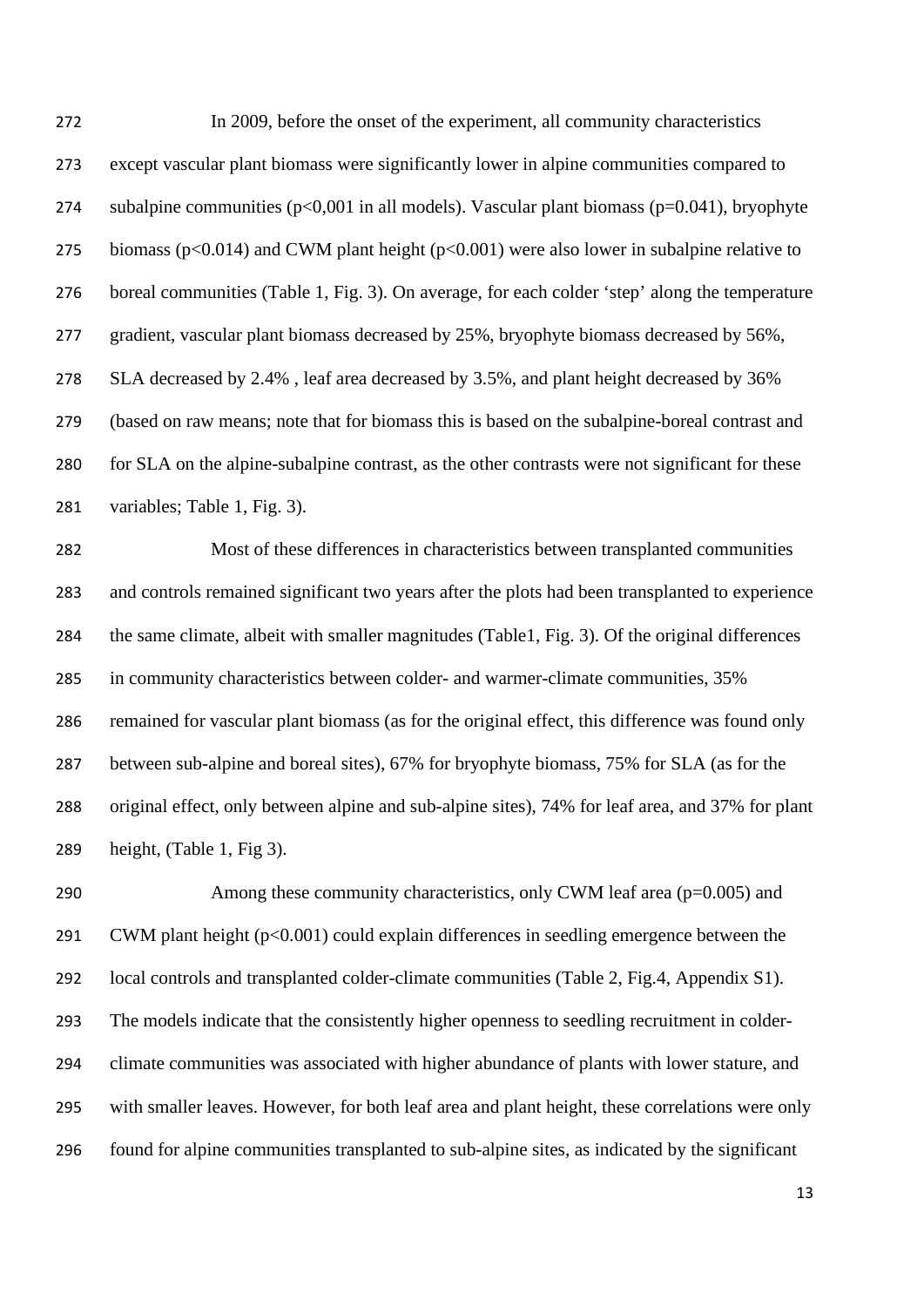In 2009, before the onset of the experiment, all community characteristics except vascular plant biomass were significantly lower in alpine communities compared to 274 subalpine communities  $(p<0,001$  in all models). Vascular plant biomass  $(p=0.041)$ , bryophyte 275 biomass ( $p<0.014$ ) and CWM plant height ( $p<0.001$ ) were also lower in subalpine relative to boreal communities (Table 1, Fig. 3). On average, for each colder 'step' along the temperature gradient, vascular plant biomass decreased by 25%, bryophyte biomass decreased by 56%, SLA decreased by 2.4% , leaf area decreased by 3.5%, and plant height decreased by 36% (based on raw means; note that for biomass this is based on the subalpine-boreal contrast and for SLA on the alpine-subalpine contrast, as the other contrasts were not significant for these variables; Table 1, Fig. 3).

 Most of these differences in characteristics between transplanted communities and controls remained significant two years after the plots had been transplanted to experience the same climate, albeit with smaller magnitudes (Table1, Fig. 3). Of the original differences in community characteristics between colder- and warmer-climate communities, 35% remained for vascular plant biomass (as for the original effect, this difference was found only between sub-alpine and boreal sites), 67% for bryophyte biomass, 75% for SLA (as for the original effect, only between alpine and sub-alpine sites), 74% for leaf area, and 37% for plant height, (Table 1, Fig 3).

290 Among these community characteristics, only CWM leaf area (p=0.005) and CWM plant height (p<0.001) could explain differences in seedling emergence between the local controls and transplanted colder-climate communities (Table 2, Fig.4, Appendix S1). The models indicate that the consistently higher openness to seedling recruitment in colder- climate communities was associated with higher abundance of plants with lower stature, and with smaller leaves. However, for both leaf area and plant height, these correlations were only found for alpine communities transplanted to sub-alpine sites, as indicated by the significant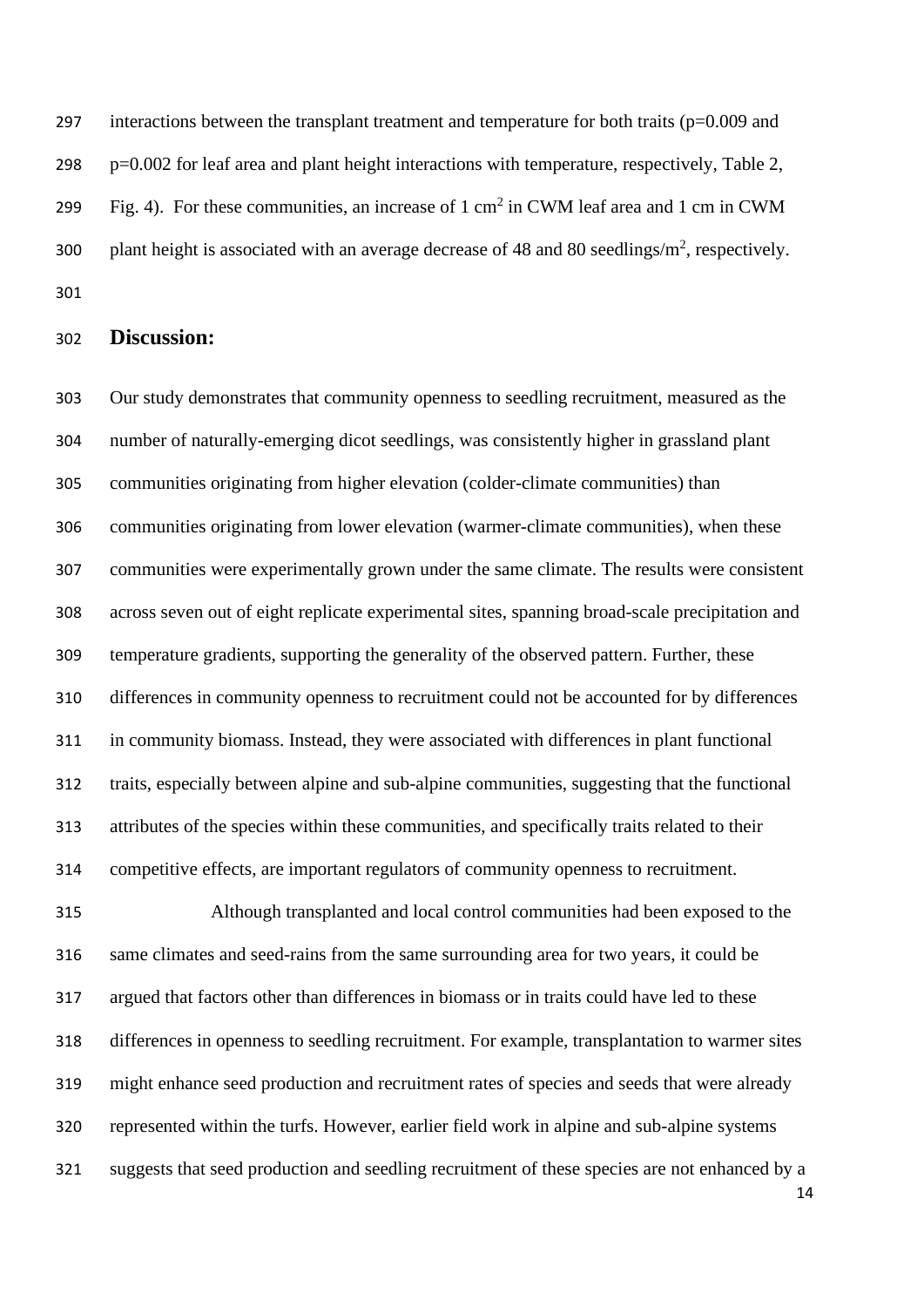297 interactions between the transplant treatment and temperature for both traits  $(p=0.009)$  and p=0.002 for leaf area and plant height interactions with temperature, respectively, Table 2, 299 Fig. 4). For these communities, an increase of 1 cm<sup>2</sup> in CWM leaf area and 1 cm in CWM 300 plant height is associated with an average decrease of 48 and 80 seedlings/ $m^2$ , respectively. 

## **Discussion:**

 Our study demonstrates that community openness to seedling recruitment, measured as the number of naturally-emerging dicot seedlings, was consistently higher in grassland plant communities originating from higher elevation (colder-climate communities) than communities originating from lower elevation (warmer-climate communities), when these communities were experimentally grown under the same climate. The results were consistent across seven out of eight replicate experimental sites, spanning broad-scale precipitation and temperature gradients, supporting the generality of the observed pattern. Further, these differences in community openness to recruitment could not be accounted for by differences in community biomass. Instead, they were associated with differences in plant functional traits, especially between alpine and sub-alpine communities, suggesting that the functional attributes of the species within these communities, and specifically traits related to their competitive effects, are important regulators of community openness to recruitment.

 Although transplanted and local control communities had been exposed to the same climates and seed-rains from the same surrounding area for two years, it could be argued that factors other than differences in biomass or in traits could have led to these differences in openness to seedling recruitment. For example, transplantation to warmer sites might enhance seed production and recruitment rates of species and seeds that were already represented within the turfs. However, earlier field work in alpine and sub-alpine systems suggests that seed production and seedling recruitment of these species are not enhanced by a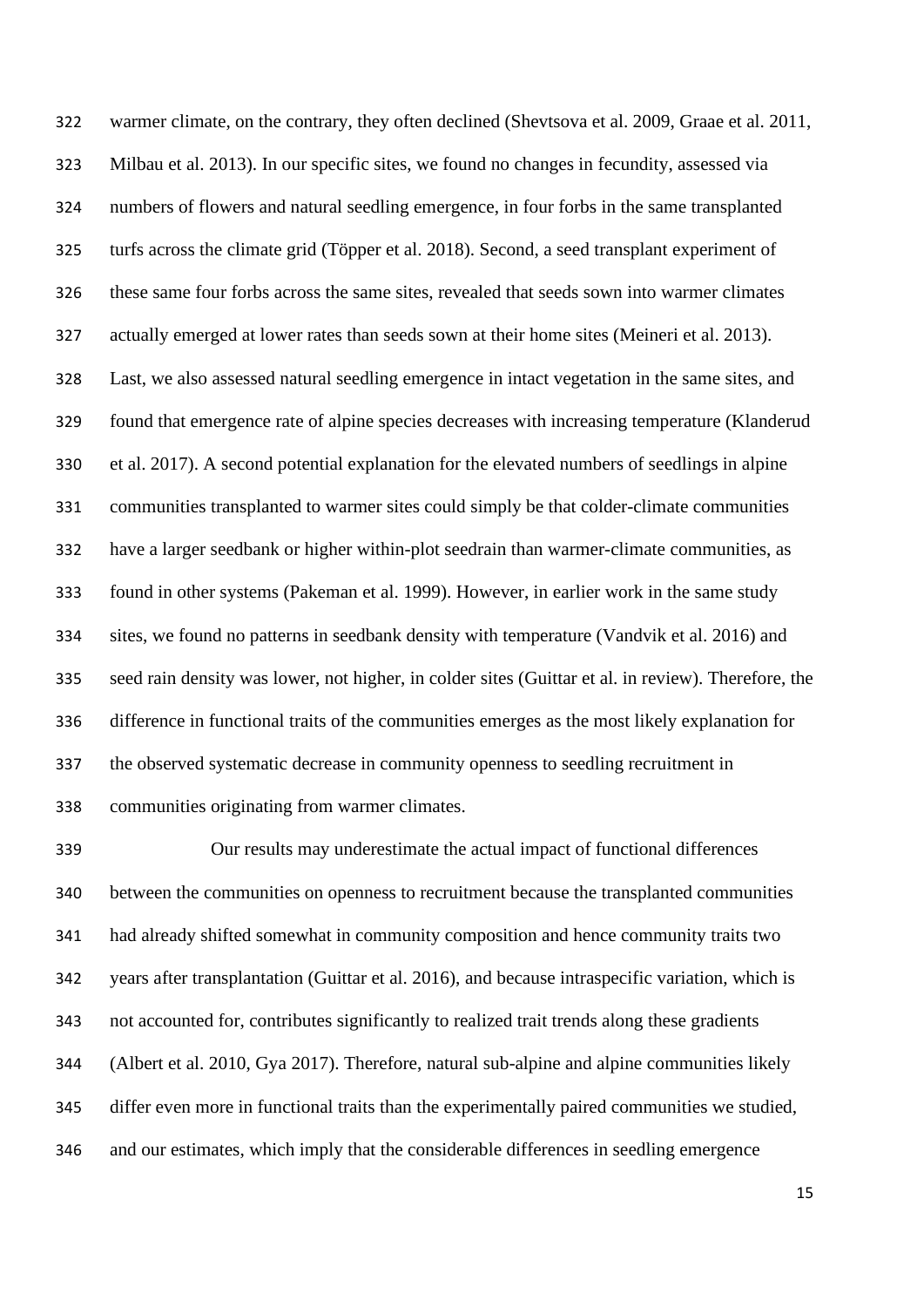warmer climate, on the contrary, they often declined [\(Shevtsova et al. 2009,](#page-23-4) [Graae et al. 2011,](#page-21-3) [Milbau et al. 2013\)](#page-22-2). In our specific sites, we found no changes in fecundity, assessed via numbers of flowers and natural seedling emergence, in four forbs in the same transplanted turfs across the climate grid [\(Töpper et al. 2018\)](#page-23-5). Second, a seed transplant experiment of these same four forbs across the same sites, revealed that seeds sown into warmer climates actually emerged at lower rates than seeds sown at their home sites [\(Meineri et al. 2013\)](#page-22-0). Last, we also assessed natural seedling emergence in intact vegetation in the same sites, and found that emergence rate of alpine species decreases with increasing temperature [\(Klanderud](#page-22-1)  [et al. 2017\)](#page-22-1). A second potential explanation for the elevated numbers of seedlings in alpine communities transplanted to warmer sites could simply be that colder-climate communities have a larger seedbank or higher within-plot seedrain than warmer-climate communities, as found in other systems [\(Pakeman et al. 1999\)](#page-23-6). However, in earlier work in the same study sites, we found no patterns in seedbank density with temperature [\(Vandvik et al. 2016\)](#page-24-5) and seed rain density was lower, not higher, in colder sites (Guittar et al. in review). Therefore, the difference in functional traits of the communities emerges as the most likely explanation for the observed systematic decrease in community openness to seedling recruitment in communities originating from warmer climates.

 Our results may underestimate the actual impact of functional differences between the communities on openness to recruitment because the transplanted communities had already shifted somewhat in community composition and hence community traits two years after transplantation (Guittar et al. 2016), and because intraspecific variation, which is not accounted for, contributes significantly to realized trait trends along these gradients [\(Albert et al. 2010,](#page-19-1) [Gya 2017\)](#page-21-7). Therefore, natural sub-alpine and alpine communities likely differ even more in functional traits than the experimentally paired communities we studied, and our estimates, which imply that the considerable differences in seedling emergence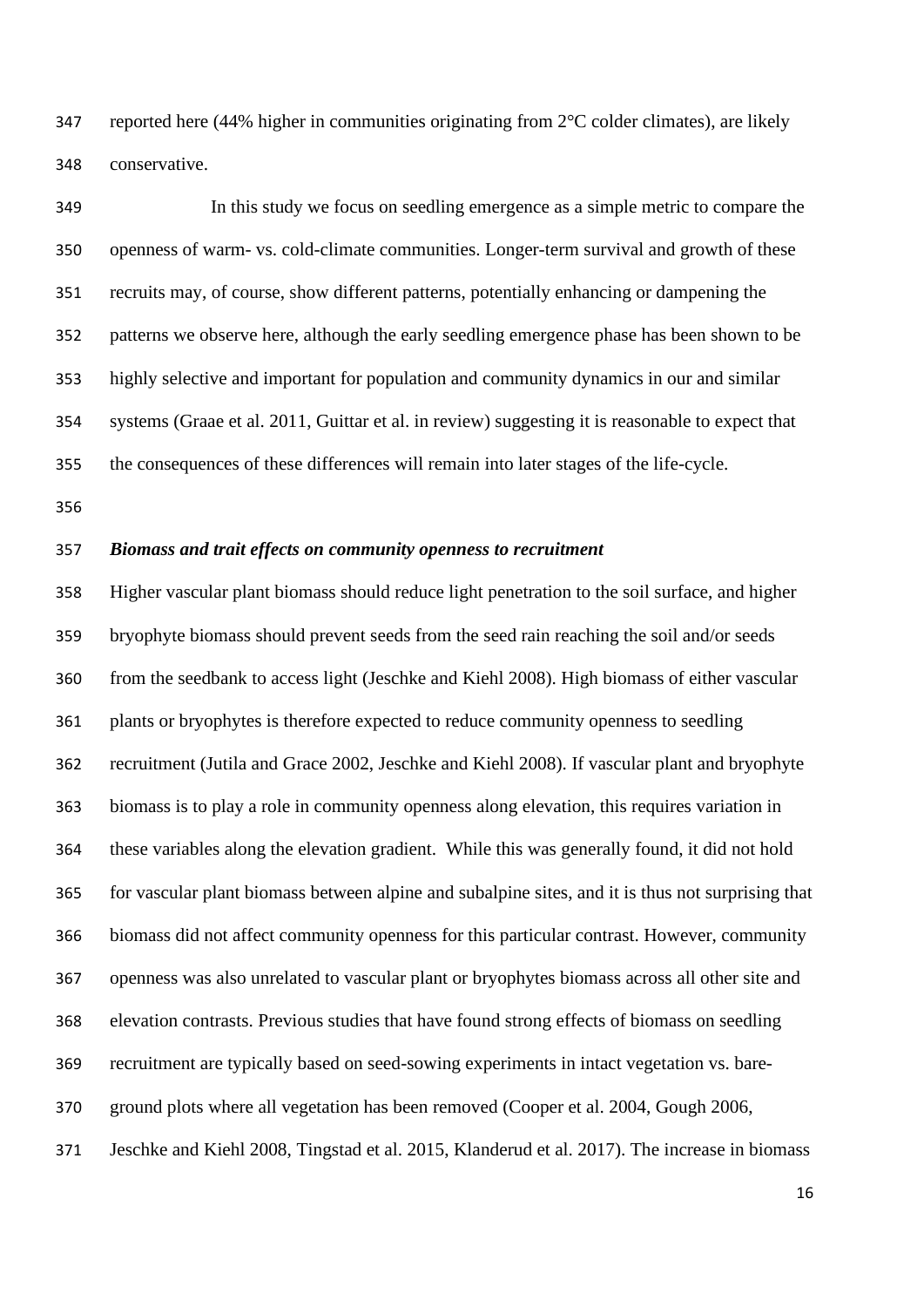reported here (44% higher in communities originating from 2°C colder climates), are likely conservative.

 In this study we focus on seedling emergence as a simple metric to compare the openness of warm- vs. cold-climate communities. Longer-term survival and growth of these recruits may, of course, show different patterns, potentially enhancing or dampening the patterns we observe here, although the early seedling emergence phase has been shown to be highly selective and important for population and community dynamics in our and similar systems [\(Graae et al. 2011,](#page-21-3) [Guittar et al. in review\)](#page-21-4) suggesting it is reasonable to expect that the consequences of these differences will remain into later stages of the life-cycle.

#### *Biomass and trait effects on community openness to recruitment*

 Higher vascular plant biomass should reduce light penetration to the soil surface, and higher bryophyte biomass should prevent seeds from the seed rain reaching the soil and/or seeds from the seedbank to access light [\(Jeschke and Kiehl 2008\)](#page-21-8). High biomass of either vascular plants or bryophytes is therefore expected to reduce community openness to seedling recruitment [\(Jutila and Grace 2002,](#page-21-9) [Jeschke and Kiehl 2008\)](#page-21-8). If vascular plant and bryophyte biomass is to play a role in community openness along elevation, this requires variation in these variables along the elevation gradient. While this was generally found, it did not hold for vascular plant biomass between alpine and subalpine sites, and it is thus not surprising that biomass did not affect community openness for this particular contrast. However, community openness was also unrelated to vascular plant or bryophytes biomass across all other site and elevation contrasts. Previous studies that have found strong effects of biomass on seedling recruitment are typically based on seed-sowing experiments in intact vegetation vs. bare- ground plots where all vegetation has been removed [\(Cooper et al. 2004,](#page-20-10) [Gough 2006,](#page-20-11) [Jeschke and Kiehl 2008,](#page-21-8) [Tingstad et al. 2015,](#page-23-7) [Klanderud et al. 2017\)](#page-22-1). The increase in biomass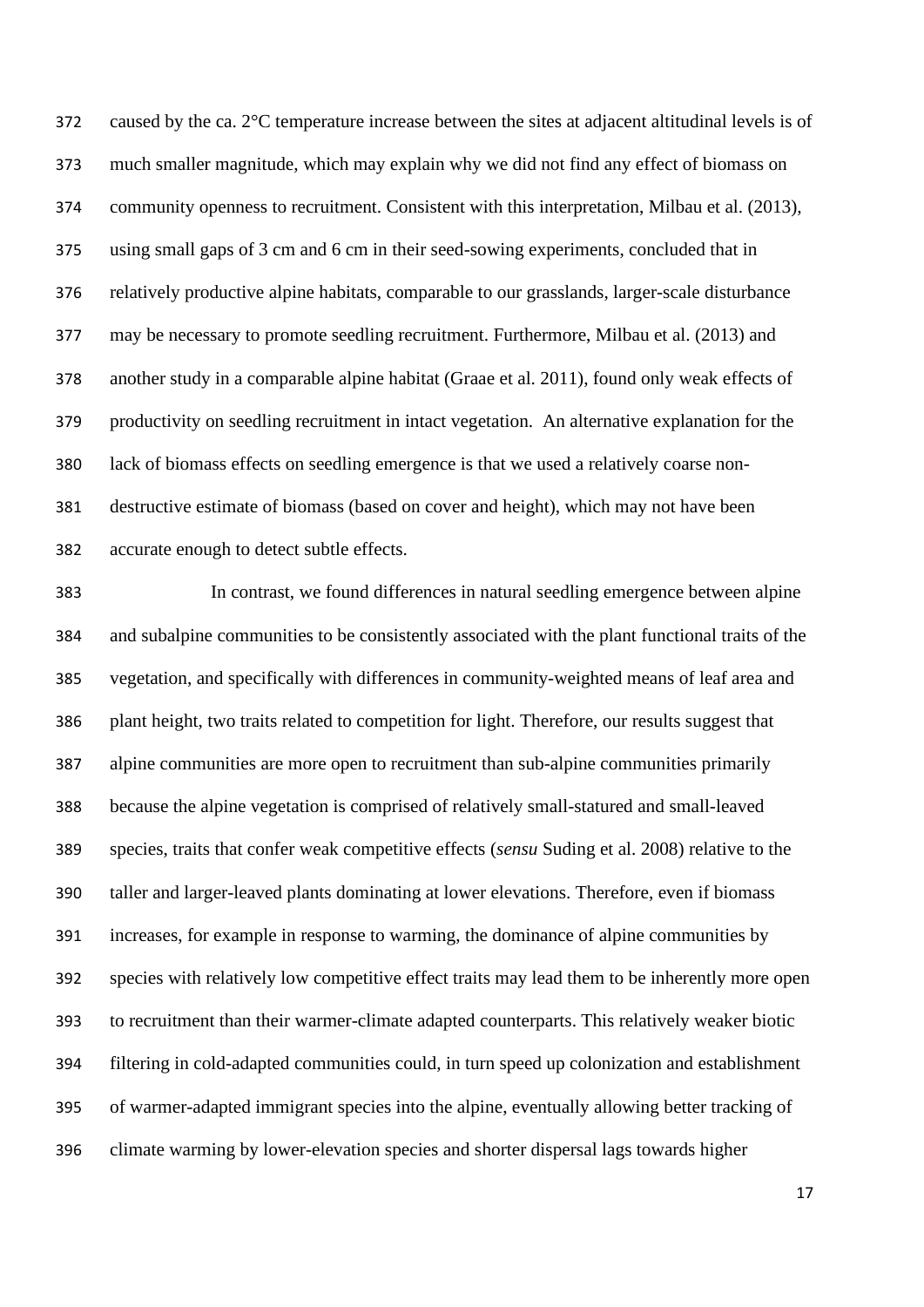caused by the ca. 2°C temperature increase between the sites at adjacent altitudinal levels is of much smaller magnitude, which may explain why we did not find any effect of biomass on community openness to recruitment. Consistent with this interpretation, [Milbau et al. \(2013\)](#page-22-2), using small gaps of 3 cm and 6 cm in their seed-sowing experiments, concluded that in relatively productive alpine habitats, comparable to our grasslands, larger-scale disturbance may be necessary to promote seedling recruitment. Furthermore, [Milbau et al. \(2013\)](#page-22-2) and another study in a comparable alpine habitat [\(Graae et al. 2011\)](#page-21-3), found only weak effects of productivity on seedling recruitment in intact vegetation. An alternative explanation for the lack of biomass effects on seedling emergence is that we used a relatively coarse non- destructive estimate of biomass (based on cover and height), which may not have been accurate enough to detect subtle effects.

 In contrast, we found differences in natural seedling emergence between alpine and subalpine communities to be consistently associated with the plant functional traits of the vegetation, and specifically with differences in community-weighted means of leaf area and plant height, two traits related to competition for light. Therefore, our results suggest that alpine communities are more open to recruitment than sub-alpine communities primarily because the alpine vegetation is comprised of relatively small-statured and small-leaved species, traits that confer weak competitive effects (*sensu* [Suding et al. 2008\)](#page-23-1) relative to the taller and larger-leaved plants dominating at lower elevations. Therefore, even if biomass increases, for example in response to warming, the dominance of alpine communities by species with relatively low competitive effect traits may lead them to be inherently more open to recruitment than their warmer-climate adapted counterparts. This relatively weaker biotic filtering in cold-adapted communities could, in turn speed up colonization and establishment of warmer-adapted immigrant species into the alpine, eventually allowing better tracking of climate warming by lower-elevation species and shorter dispersal lags towards higher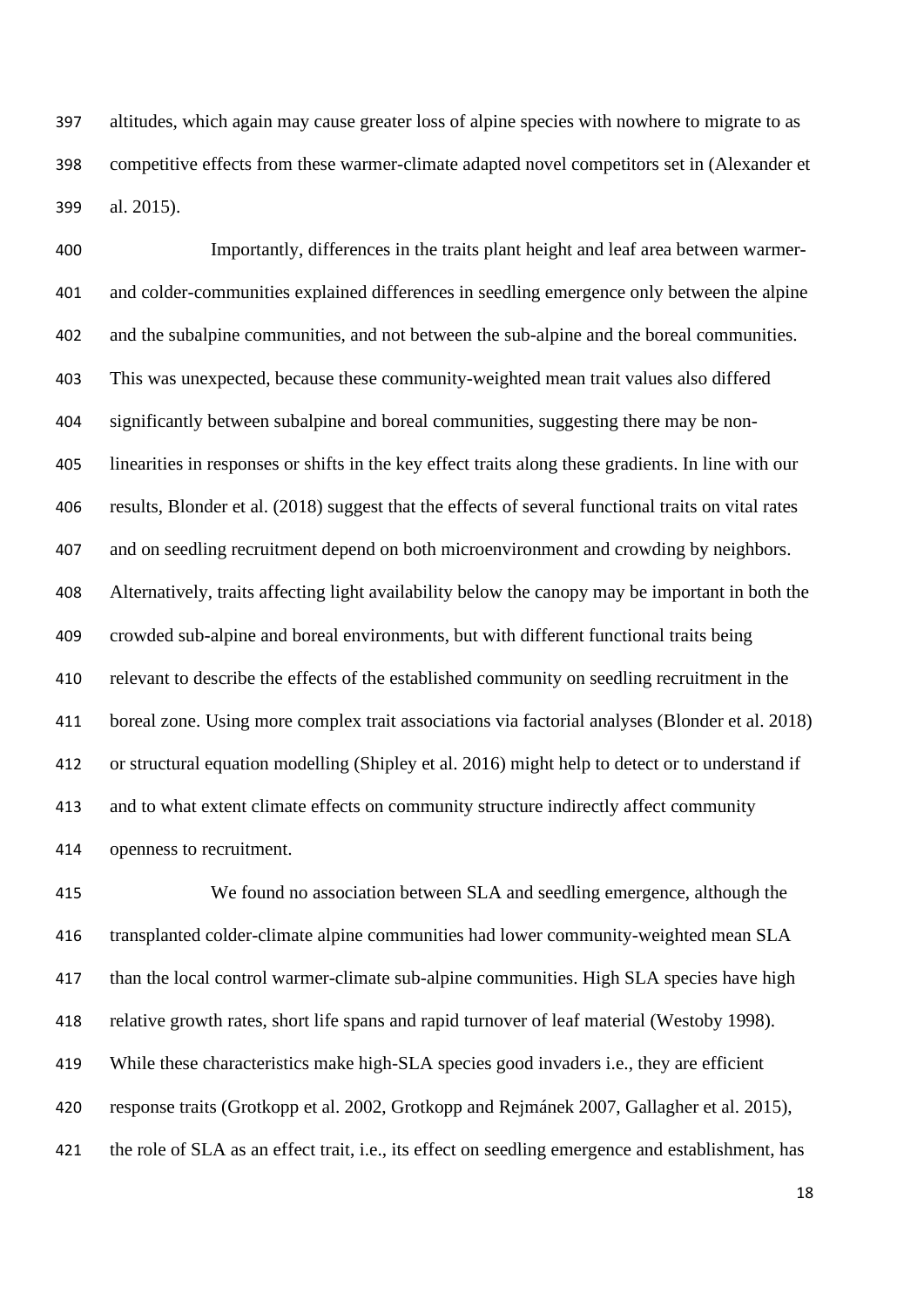altitudes, which again may cause greater loss of alpine species with nowhere to migrate to as competitive effects from these warmer-climate adapted novel competitors set in [\(Alexander et](#page-19-0)  [al. 2015\)](#page-19-0).

 Importantly, differences in the traits plant height and leaf area between warmer- and colder-communities explained differences in seedling emergence only between the alpine and the subalpine communities, and not between the sub-alpine and the boreal communities. This was unexpected, because these community-weighted mean trait values also differed significantly between subalpine and boreal communities, suggesting there may be non- linearities in responses or shifts in the key effect traits along these gradients. In line with our results, [Blonder et al. \(2018\)](#page-20-6) suggest that the effects of several functional traits on vital rates and on seedling recruitment depend on both microenvironment and crowding by neighbors. Alternatively, traits affecting light availability below the canopy may be important in both the crowded sub-alpine and boreal environments, but with different functional traits being relevant to describe the effects of the established community on seedling recruitment in the boreal zone. Using more complex trait associations via factorial analyses [\(Blonder et al. 2018\)](#page-20-6) or structural equation modelling [\(Shipley et al. 2016\)](#page-23-8) might help to detect or to understand if and to what extent climate effects on community structure indirectly affect community openness to recruitment.

 We found no association between SLA and seedling emergence, although the transplanted colder-climate alpine communities had lower community-weighted mean SLA than the local control warmer-climate sub-alpine communities. High SLA species have high relative growth rates, short life spans and rapid turnover of leaf material [\(Westoby 1998\)](#page-24-1). While these characteristics make high-SLA species good invaders i.e., they are efficient response traits [\(Grotkopp et al. 2002,](#page-21-0) [Grotkopp and Rejmánek 2007,](#page-21-1) [Gallagher et al. 2015\)](#page-20-2), the role of SLA as an effect trait, i.e., its effect on seedling emergence and establishment, has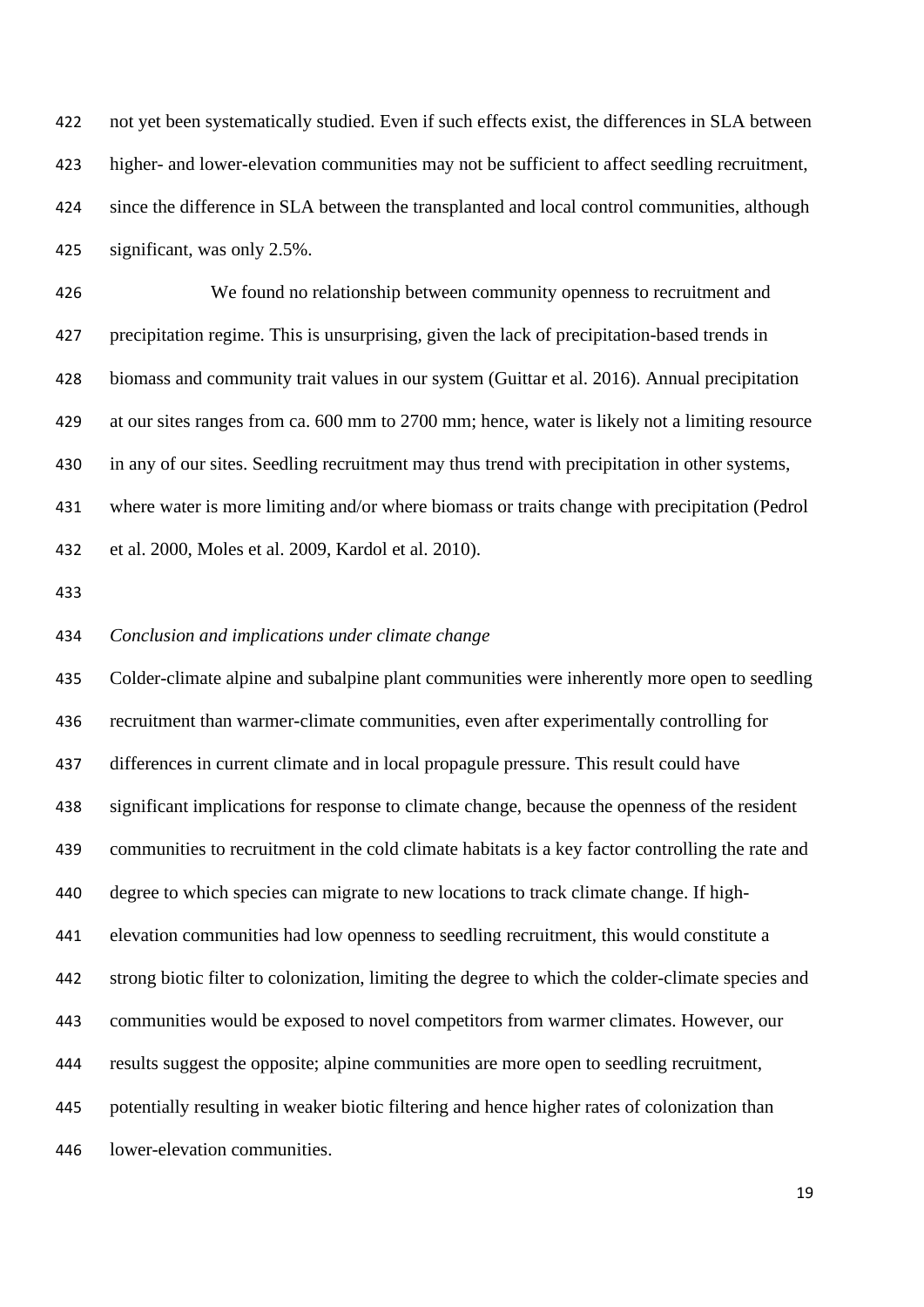not yet been systematically studied. Even if such effects exist, the differences in SLA between higher- and lower-elevation communities may not be sufficient to affect seedling recruitment, since the difference in SLA between the transplanted and local control communities, although significant, was only 2.5%.

 We found no relationship between community openness to recruitment and precipitation regime. This is unsurprising, given the lack of precipitation-based trends in biomass and community trait values in our system [\(Guittar et al. 2016\)](#page-21-2). Annual precipitation at our sites ranges from ca. 600 mm to 2700 mm; hence, water is likely not a limiting resource in any of our sites. Seedling recruitment may thus trend with precipitation in other systems, where water is more limiting and/or where biomass or traits change with precipitation [\(Pedrol](#page-23-9)  [et al. 2000,](#page-23-9) [Moles et al. 2009,](#page-22-11) [Kardol et al. 2010\)](#page-22-4).

#### *Conclusion and implications under climate change*

 Colder-climate alpine and subalpine plant communities were inherently more open to seedling recruitment than warmer-climate communities, even after experimentally controlling for differences in current climate and in local propagule pressure. This result could have significant implications for response to climate change, because the openness of the resident communities to recruitment in the cold climate habitats is a key factor controlling the rate and degree to which species can migrate to new locations to track climate change. If high- elevation communities had low openness to seedling recruitment, this would constitute a strong biotic filter to colonization, limiting the degree to which the colder-climate species and communities would be exposed to novel competitors from warmer climates. However, our results suggest the opposite; alpine communities are more open to seedling recruitment, potentially resulting in weaker biotic filtering and hence higher rates of colonization than lower-elevation communities.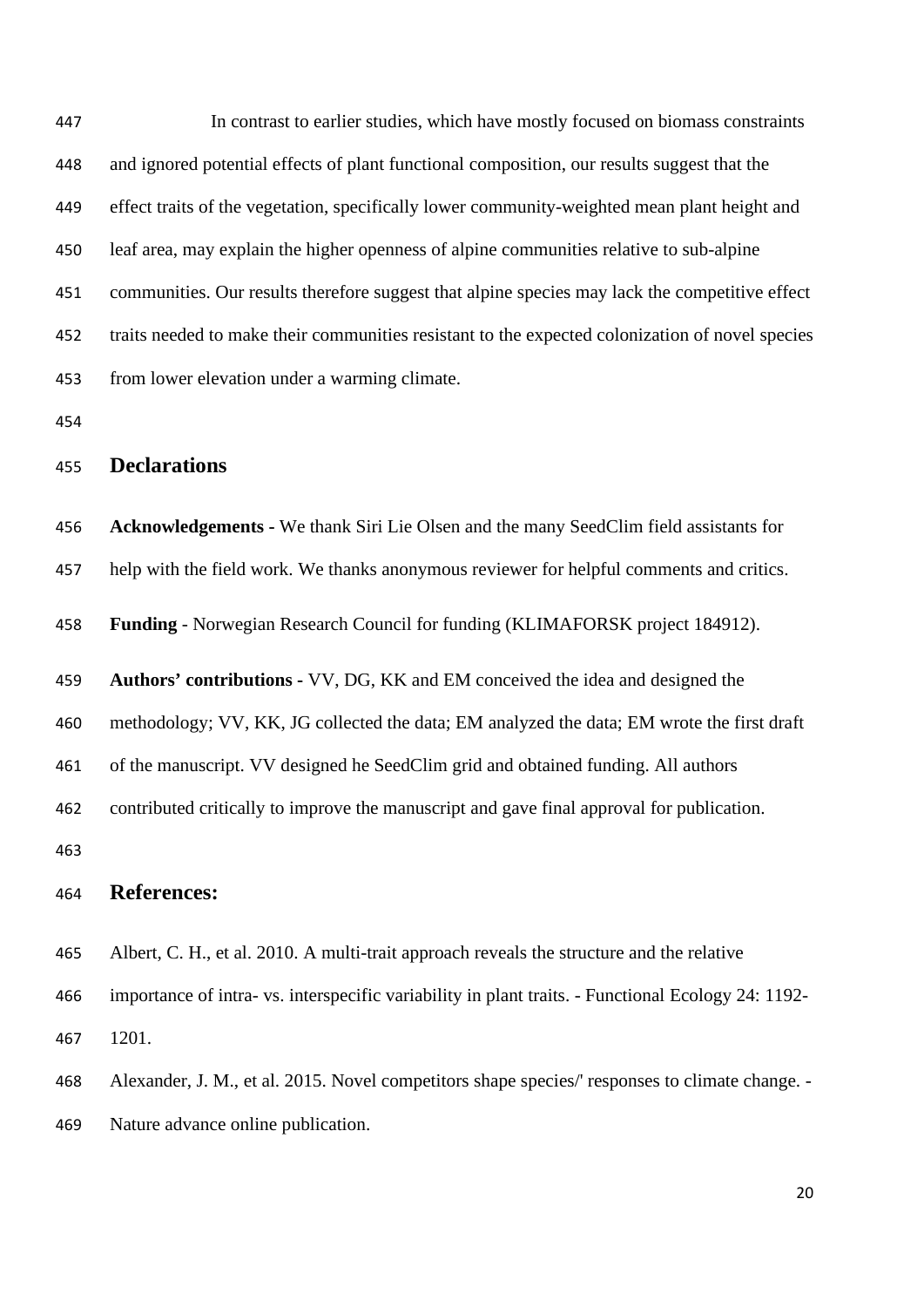In contrast to earlier studies, which have mostly focused on biomass constraints and ignored potential effects of plant functional composition, our results suggest that the effect traits of the vegetation, specifically lower community-weighted mean plant height and leaf area, may explain the higher openness of alpine communities relative to sub-alpine communities. Our results therefore suggest that alpine species may lack the competitive effect traits needed to make their communities resistant to the expected colonization of novel species from lower elevation under a warming climate. **Declarations Acknowledgements -** We thank Siri Lie Olsen and the many SeedClim field assistants for help with the field work. We thanks anonymous reviewer for helpful comments and critics.

**Funding** - Norwegian Research Council for funding (KLIMAFORSK project 184912).

**Authors' contributions -** VV, DG, KK and EM conceived the idea and designed the

methodology; VV, KK, JG collected the data; EM analyzed the data; EM wrote the first draft

of the manuscript. VV designed he SeedClim grid and obtained funding. All authors

contributed critically to improve the manuscript and gave final approval for publication.

## **References:**

<span id="page-19-1"></span>Albert, C. H., et al. 2010. A multi-trait approach reveals the structure and the relative

 importance of intra- vs. interspecific variability in plant traits. - Functional Ecology 24: 1192- 1201.

<span id="page-19-0"></span>Alexander, J. M., et al. 2015. Novel competitors shape species/' responses to climate change. -

Nature advance online publication.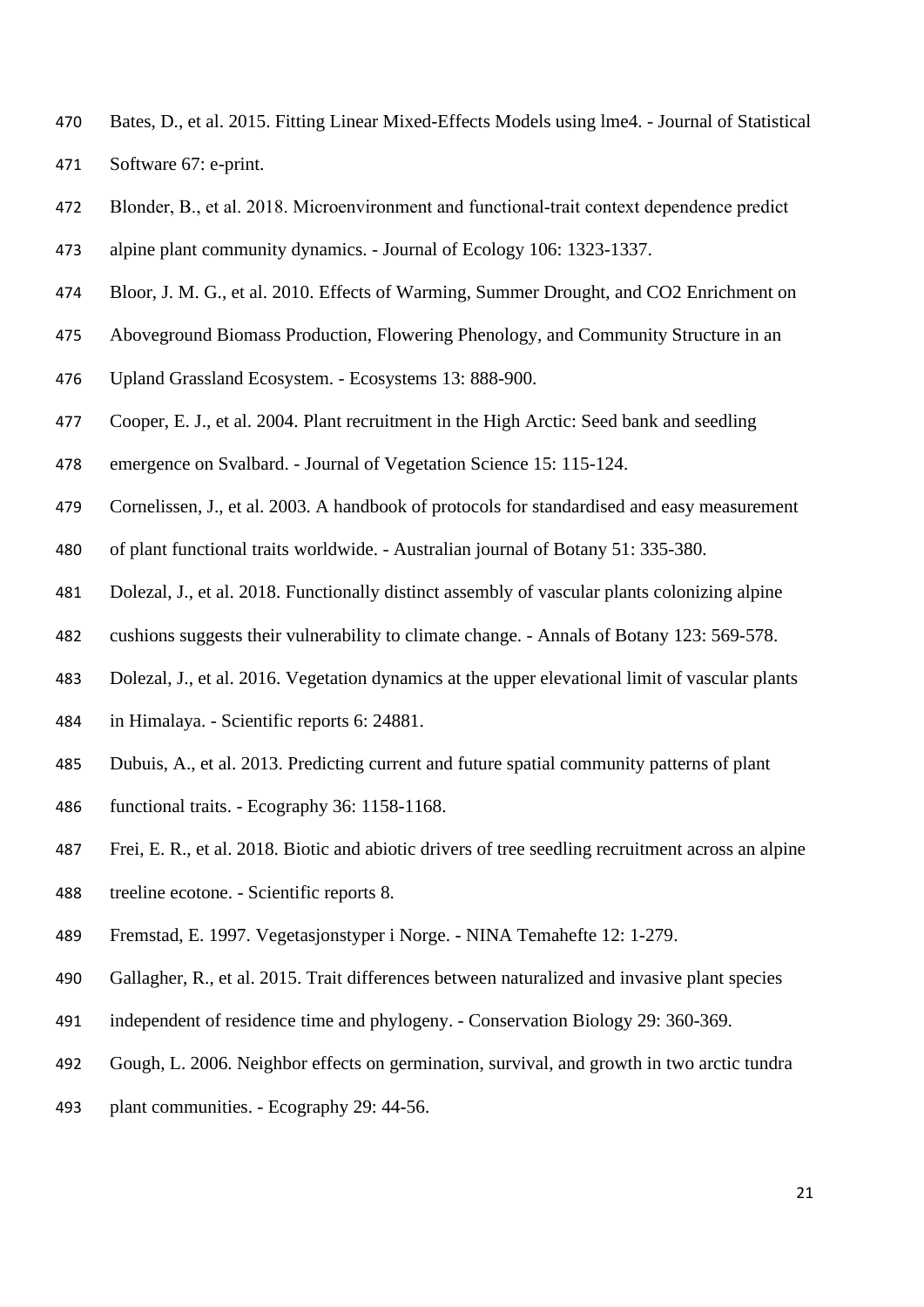- <span id="page-20-9"></span> Bates, D., et al. 2015. Fitting Linear Mixed-Effects Models using lme4. - Journal of Statistical Software 67: e-print.
- <span id="page-20-6"></span>Blonder, B., et al. 2018. Microenvironment and functional‐trait context dependence predict
- alpine plant community dynamics. Journal of Ecology 106: 1323-1337.
- <span id="page-20-1"></span>Bloor, J. M. G., et al. 2010. Effects of Warming, Summer Drought, and CO2 Enrichment on
- Aboveground Biomass Production, Flowering Phenology, and Community Structure in an
- Upland Grassland Ecosystem. Ecosystems 13: 888-900.
- <span id="page-20-10"></span>Cooper, E. J., et al. 2004. Plant recruitment in the High Arctic: Seed bank and seedling
- emergence on Svalbard. Journal of Vegetation Science 15: 115-124.
- <span id="page-20-8"></span>Cornelissen, J., et al. 2003. A handbook of protocols for standardised and easy measurement
- of plant functional traits worldwide. Australian journal of Botany 51: 335-380.
- <span id="page-20-5"></span>Dolezal, J., et al. 2018. Functionally distinct assembly of vascular plants colonizing alpine
- cushions suggests their vulnerability to climate change. Annals of Botany 123: 569-578.
- <span id="page-20-4"></span>Dolezal, J., et al. 2016. Vegetation dynamics at the upper elevational limit of vascular plants
- in Himalaya. Scientific reports 6: 24881.
- <span id="page-20-3"></span>Dubuis, A., et al. 2013. Predicting current and future spatial community patterns of plant
- functional traits. Ecography 36: 1158-1168.
- <span id="page-20-0"></span>Frei, E. R., et al. 2018. Biotic and abiotic drivers of tree seedling recruitment across an alpine
- treeline ecotone. Scientific reports 8.
- <span id="page-20-7"></span>Fremstad, E. 1997. Vegetasjonstyper i Norge. - NINA Temahefte 12: 1-279.
- <span id="page-20-2"></span>Gallagher, R., et al. 2015. Trait differences between naturalized and invasive plant species
- independent of residence time and phylogeny. Conservation Biology 29: 360-369.
- <span id="page-20-11"></span>Gough, L. 2006. Neighbor effects on germination, survival, and growth in two arctic tundra
- plant communities. Ecography 29: 44-56.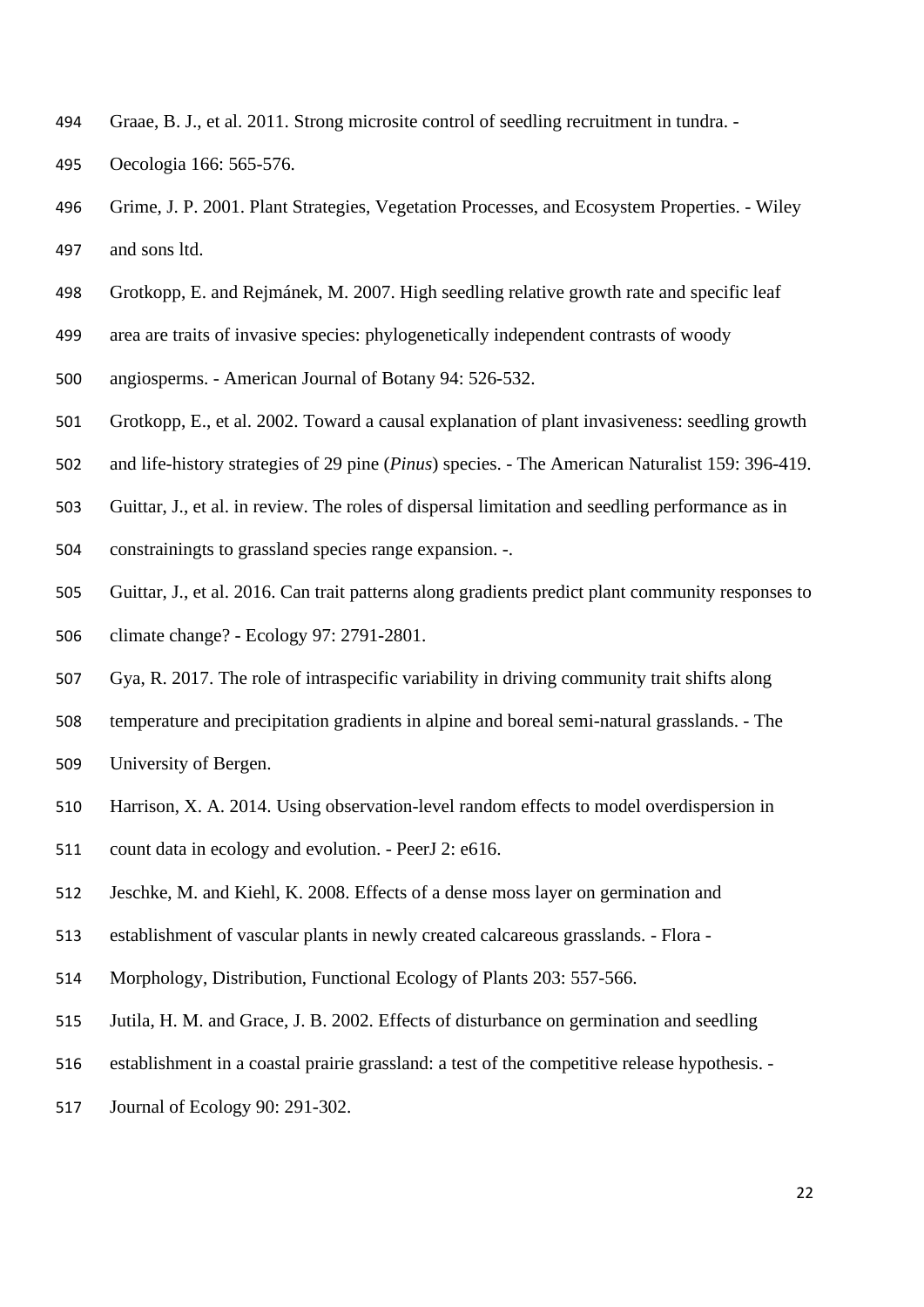- <span id="page-21-3"></span>Graae, B. J., et al. 2011. Strong microsite control of seedling recruitment in tundra. -
- Oecologia 166: 565-576.
- <span id="page-21-5"></span> Grime, J. P. 2001. Plant Strategies, Vegetation Processes, and Ecosystem Properties. - Wiley and sons ltd.
- <span id="page-21-1"></span>Grotkopp, E. and Rejmánek, M. 2007. High seedling relative growth rate and specific leaf
- area are traits of invasive species: phylogenetically independent contrasts of woody
- angiosperms. American Journal of Botany 94: 526-532.
- <span id="page-21-0"></span>Grotkopp, E., et al. 2002. Toward a causal explanation of plant invasiveness: seedling growth
- and life-history strategies of 29 pine (*Pinus*) species. The American Naturalist 159: 396-419.
- <span id="page-21-4"></span>Guittar, J., et al. in review. The roles of dispersal limitation and seedling performance as in
- constrainingts to grassland species range expansion. -.
- <span id="page-21-2"></span>Guittar, J., et al. 2016. Can trait patterns along gradients predict plant community responses to
- climate change? Ecology 97: 2791-2801.
- <span id="page-21-7"></span>Gya, R. 2017. The role of intraspecific variability in driving community trait shifts along
- temperature and precipitation gradients in alpine and boreal semi-natural grasslands. The
- University of Bergen.
- <span id="page-21-6"></span>Harrison, X. A. 2014. Using observation-level random effects to model overdispersion in
- count data in ecology and evolution. PeerJ 2: e616.
- <span id="page-21-8"></span>Jeschke, M. and Kiehl, K. 2008. Effects of a dense moss layer on germination and
- establishment of vascular plants in newly created calcareous grasslands. Flora -
- Morphology, Distribution, Functional Ecology of Plants 203: 557-566.
- <span id="page-21-9"></span>Jutila, H. M. and Grace, J. B. 2002. Effects of disturbance on germination and seedling
- establishment in a coastal prairie grassland: a test of the competitive release hypothesis. -
- Journal of Ecology 90: 291-302.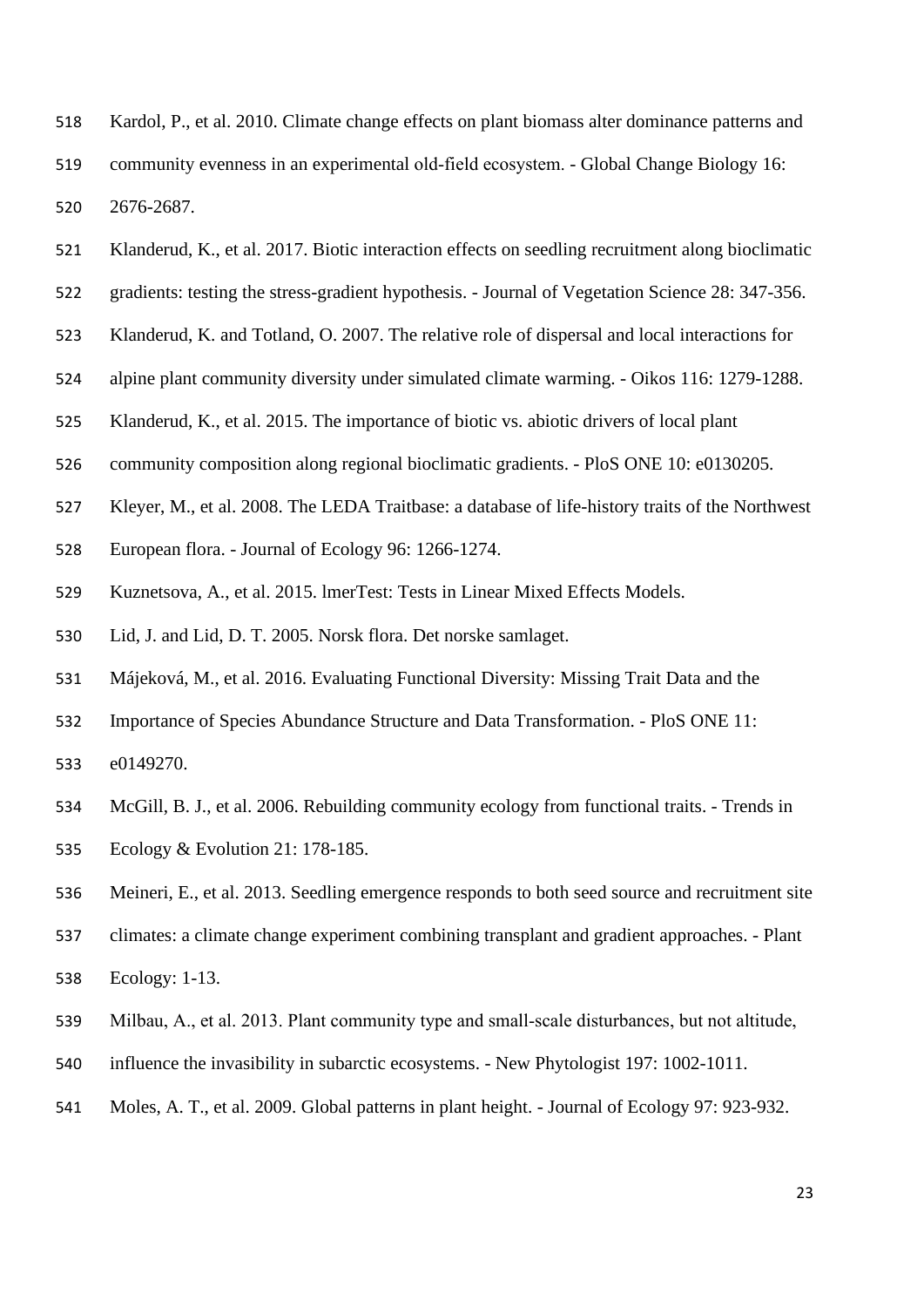- <span id="page-22-4"></span> Kardol, P., et al. 2010. Climate change effects on plant biomass alter dominance patterns and community evenness in an experimental old‐field ecosystem. - Global Change Biology 16: 2676-2687.
- <span id="page-22-1"></span>Klanderud, K., et al. 2017. Biotic interaction effects on seedling recruitment along bioclimatic
- gradients: testing the stress-gradient hypothesis. Journal of Vegetation Science 28: 347-356.
- <span id="page-22-3"></span>Klanderud, K. and Totland, O. 2007. The relative role of dispersal and local interactions for
- alpine plant community diversity under simulated climate warming. Oikos 116: 1279-1288.
- <span id="page-22-5"></span>Klanderud, K., et al. 2015. The importance of biotic vs. abiotic drivers of local plant
- community composition along regional bioclimatic gradients. PloS ONE 10: e0130205.
- <span id="page-22-7"></span>Kleyer, M., et al. 2008. The LEDA Traitbase: a database of life-history traits of the Northwest
- European flora. Journal of Ecology 96: 1266-1274.
- <span id="page-22-10"></span>Kuznetsova, A., et al. 2015. lmerTest: Tests in Linear Mixed Effects Models.
- <span id="page-22-8"></span>Lid, J. and Lid, D. T. 2005. Norsk flora. Det norske samlaget.
- <span id="page-22-9"></span>Májeková, M., et al. 2016. Evaluating Functional Diversity: Missing Trait Data and the
- Importance of Species Abundance Structure and Data Transformation. PloS ONE 11:
- e0149270.
- <span id="page-22-6"></span>McGill, B. J., et al. 2006. Rebuilding community ecology from functional traits. - Trends in
- Ecology & Evolution 21: 178-185.
- <span id="page-22-0"></span>Meineri, E., et al. 2013. Seedling emergence responds to both seed source and recruitment site
- climates: a climate change experiment combining transplant and gradient approaches. Plant
- Ecology: 1-13.
- <span id="page-22-2"></span>Milbau, A., et al. 2013. Plant community type and small‐scale disturbances, but not altitude,
- influence the invasibility in subarctic ecosystems. New Phytologist 197: 1002-1011.
- <span id="page-22-11"></span>Moles, A. T., et al. 2009. Global patterns in plant height. - Journal of Ecology 97: 923-932.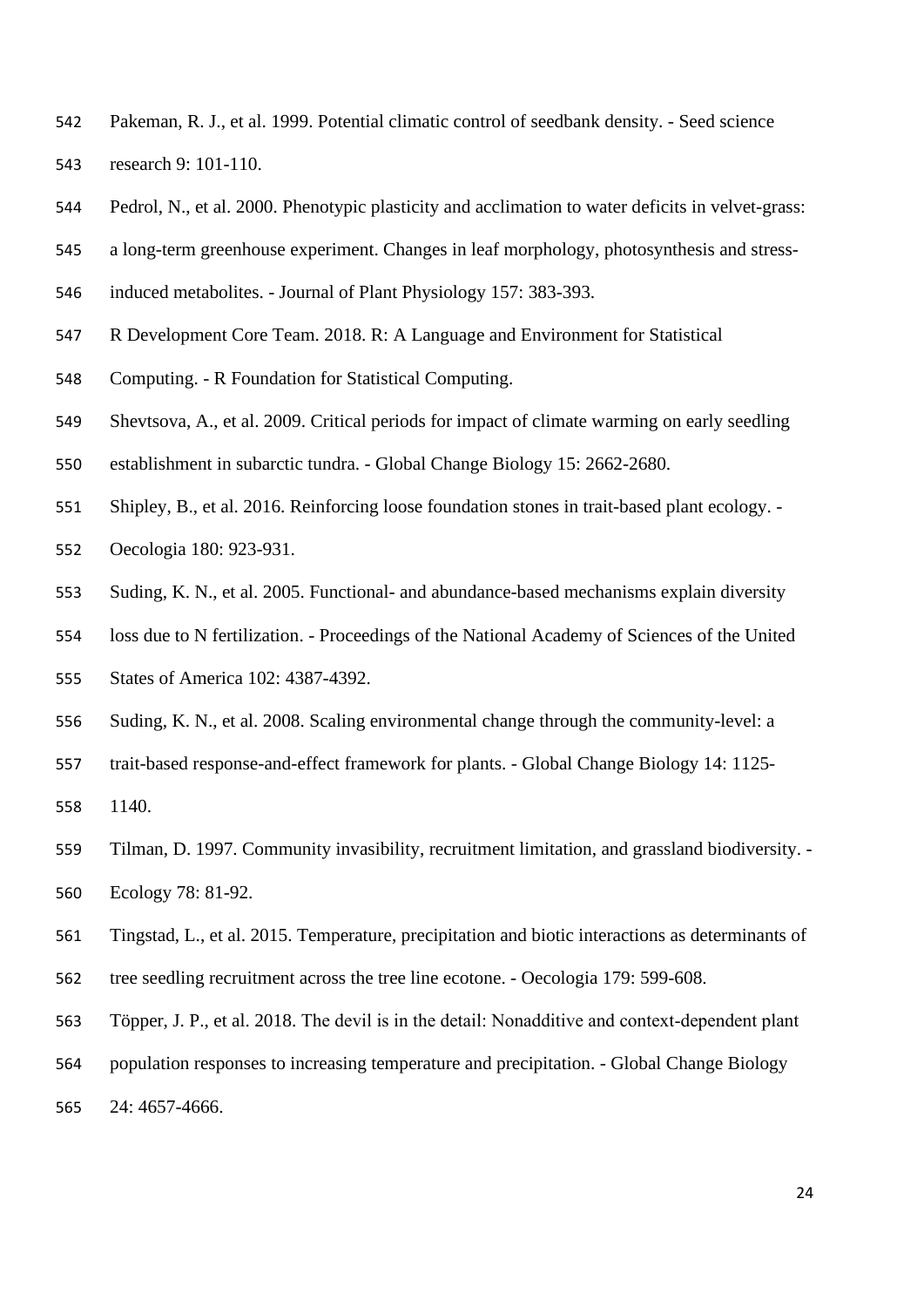- <span id="page-23-6"></span> Pakeman, R. J., et al. 1999. Potential climatic control of seedbank density. - Seed science research 9: 101-110.
- <span id="page-23-9"></span>Pedrol, N., et al. 2000. Phenotypic plasticity and acclimation to water deficits in velvet-grass:
- a long-term greenhouse experiment. Changes in leaf morphology, photosynthesis and stress-
- induced metabolites. Journal of Plant Physiology 157: 383-393.
- <span id="page-23-3"></span>R Development Core Team. 2018. R: A Language and Environment for Statistical
- Computing. R Foundation for Statistical Computing.
- <span id="page-23-4"></span>Shevtsova, A., et al. 2009. Critical periods for impact of climate warming on early seedling
- establishment in subarctic tundra. Global Change Biology 15: 2662-2680.
- <span id="page-23-8"></span>Shipley, B., et al. 2016. Reinforcing loose foundation stones in trait-based plant ecology. -
- Oecologia 180: 923-931.
- <span id="page-23-2"></span>Suding, K. N., et al. 2005. Functional- and abundance-based mechanisms explain diversity
- loss due to N fertilization. Proceedings of the National Academy of Sciences of the United
- States of America 102: 4387-4392.
- <span id="page-23-1"></span>Suding, K. N., et al. 2008. Scaling environmental change through the community-level: a
- trait-based response-and-effect framework for plants. Global Change Biology 14: 1125-
- 1140.
- <span id="page-23-0"></span> Tilman, D. 1997. Community invasibility, recruitment limitation, and grassland biodiversity. - Ecology 78: 81-92.
- <span id="page-23-7"></span>Tingstad, L., et al. 2015. Temperature, precipitation and biotic interactions as determinants of
- tree seedling recruitment across the tree line ecotone. Oecologia 179: 599-608.
- <span id="page-23-5"></span>563 Töpper, J. P., et al. 2018. The devil is in the detail: Nonadditive and context-dependent plant
- population responses to increasing temperature and precipitation. Global Change Biology
- 24: 4657-4666.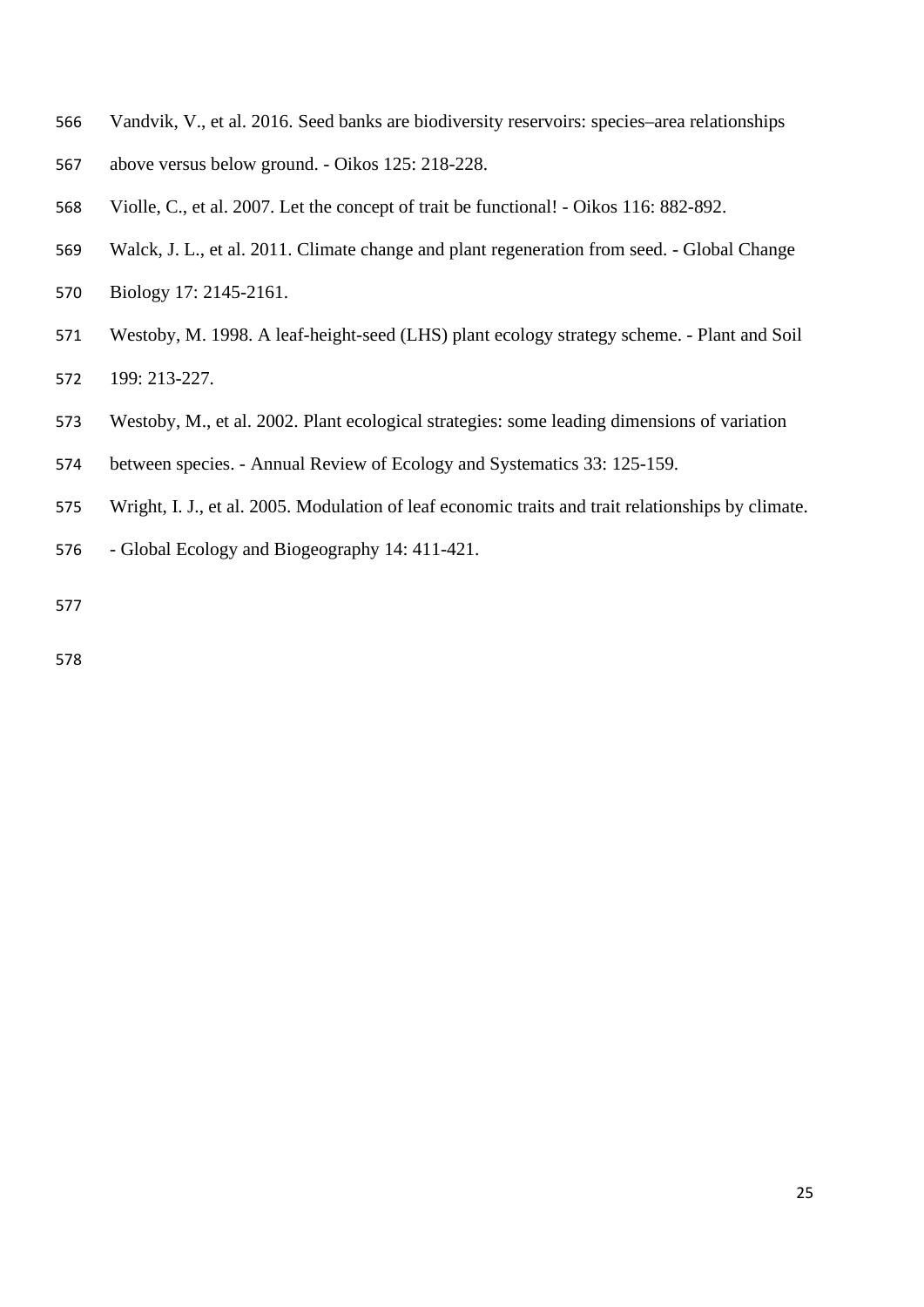- <span id="page-24-5"></span>Vandvik, V., et al. 2016. Seed banks are biodiversity reservoirs: species–area relationships
- above versus below ground. Oikos 125: 218-228.
- <span id="page-24-4"></span>Violle, C., et al. 2007. Let the concept of trait be functional! - Oikos 116: 882-892.
- <span id="page-24-0"></span>Walck, J. L., et al. 2011. Climate change and plant regeneration from seed. - Global Change
- Biology 17: 2145-2161.
- <span id="page-24-1"></span> Westoby, M. 1998. A leaf-height-seed (LHS) plant ecology strategy scheme. - Plant and Soil 199: 213-227.
- <span id="page-24-2"></span>Westoby, M., et al. 2002. Plant ecological strategies: some leading dimensions of variation
- between species. Annual Review of Ecology and Systematics 33: 125-159.
- <span id="page-24-3"></span>Wright, I. J., et al. 2005. Modulation of leaf economic traits and trait relationships by climate.
- Global Ecology and Biogeography 14: 411-421.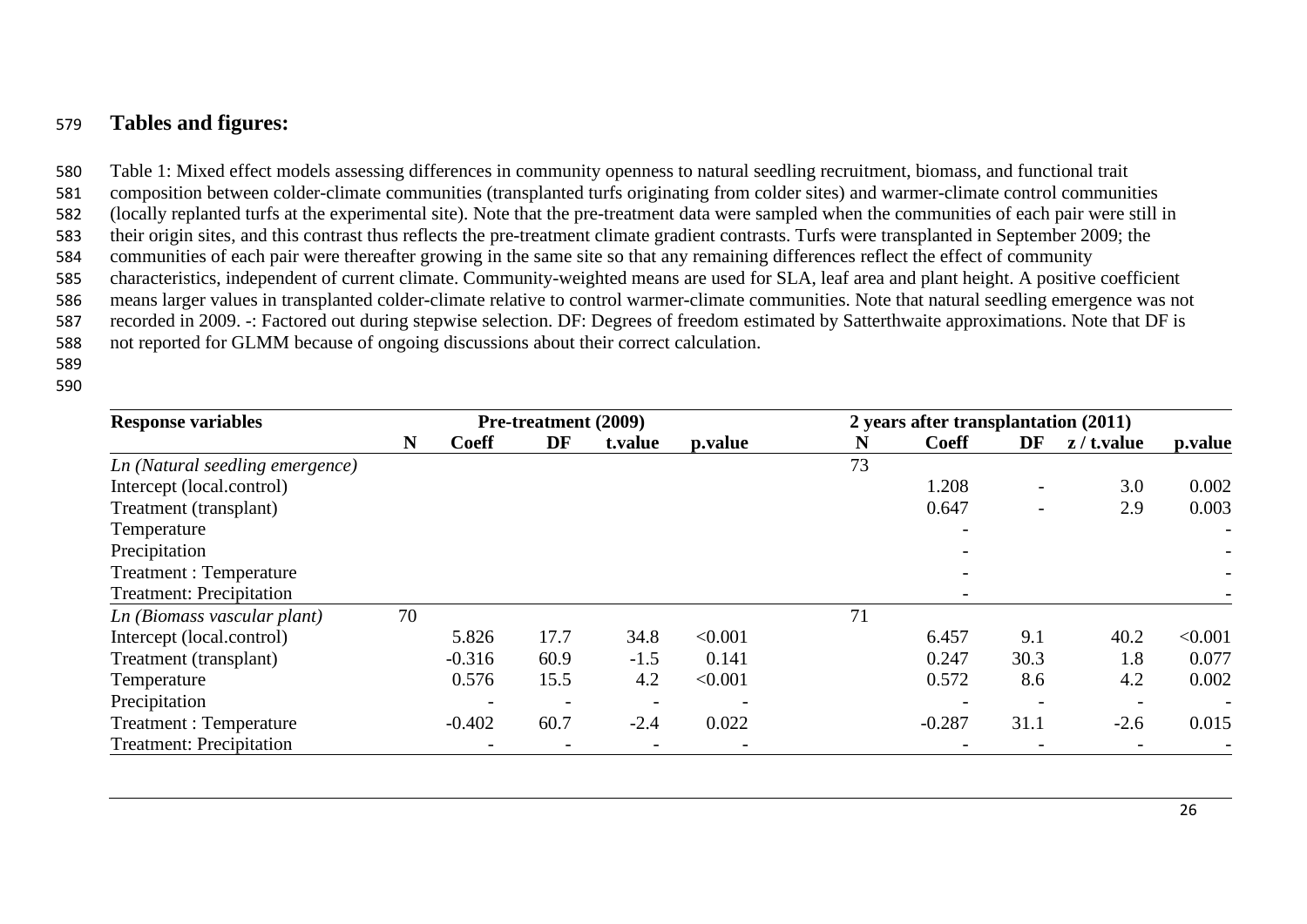# 579 **Tables and figures:**

 Table 1: Mixed effect models assessing differences in community openness to natural seedling recruitment, biomass, and functional trait composition between colder-climate communities (transplanted turfs originating from colder sites) and warmer-climate control communities (locally replanted turfs at the experimental site). Note that the pre-treatment data were sampled when the communities of each pair were still in their origin sites, and this contrast thus reflects the pre-treatment climate gradient contrasts. Turfs were transplanted in September 2009; the communities of each pair were thereafter growing in the same site so that any remaining differences reflect the effect of community characteristics, independent of current climate. Community-weighted means are used for SLA, leaf area and plant height. A positive coefficient means larger values in transplanted colder-climate relative to control warmer-climate communities. Note that natural seedling emergence was not recorded in 2009. -: Factored out during stepwise selection. DF: Degrees of freedom estimated by Satterthwaite approximations. Note that DF is not reported for GLMM because of ongoing discussions about their correct calculation. 589

| <b>Response variables</b>       | Pre-treatment (2009) |                          |                          |                          |         | 2 years after transplantation (2011) |              |      |                |         |
|---------------------------------|----------------------|--------------------------|--------------------------|--------------------------|---------|--------------------------------------|--------------|------|----------------|---------|
|                                 | N                    | <b>Coeff</b>             | DF                       | t.value                  | p.value | N                                    | <b>Coeff</b> | DF   | $z / t$ .value | p.value |
| Ln (Natural seedling emergence) |                      |                          |                          |                          |         | 73                                   |              |      |                |         |
| Intercept (local.control)       |                      |                          |                          |                          |         |                                      | 1.208        |      | 3.0            | 0.002   |
| Treatment (transplant)          |                      |                          |                          |                          |         |                                      | 0.647        | -    | 2.9            | 0.003   |
| Temperature                     |                      |                          |                          |                          |         |                                      |              |      |                |         |
| Precipitation                   |                      |                          |                          |                          |         |                                      |              |      |                |         |
| Treatment: Temperature          |                      |                          |                          |                          |         |                                      |              |      |                |         |
| <b>Treatment: Precipitation</b> |                      |                          |                          |                          |         |                                      |              |      |                |         |
| Ln (Biomass vascular plant)     | 70                   |                          |                          |                          |         | 71                                   |              |      |                |         |
| Intercept (local.control)       |                      | 5.826                    | 17.7                     | 34.8                     | < 0.001 |                                      | 6.457        | 9.1  | 40.2           | < 0.001 |
| Treatment (transplant)          |                      | $-0.316$                 | 60.9                     | $-1.5$                   | 0.141   |                                      | 0.247        | 30.3 | 1.8            | 0.077   |
| Temperature                     |                      | 0.576                    | 15.5                     | 4.2                      | < 0.001 |                                      | 0.572        | 8.6  | 4.2            | 0.002   |
| Precipitation                   |                      | $\overline{\phantom{a}}$ |                          |                          |         |                                      |              |      |                |         |
| Treatment: Temperature          |                      | $-0.402$                 | 60.7                     | $-2.4$                   | 0.022   |                                      | $-0.287$     | 31.1 | $-2.6$         | 0.015   |
| <b>Treatment: Precipitation</b> |                      | $\overline{\phantom{a}}$ | $\overline{\phantom{a}}$ | $\overline{\phantom{a}}$ |         |                                      |              |      |                |         |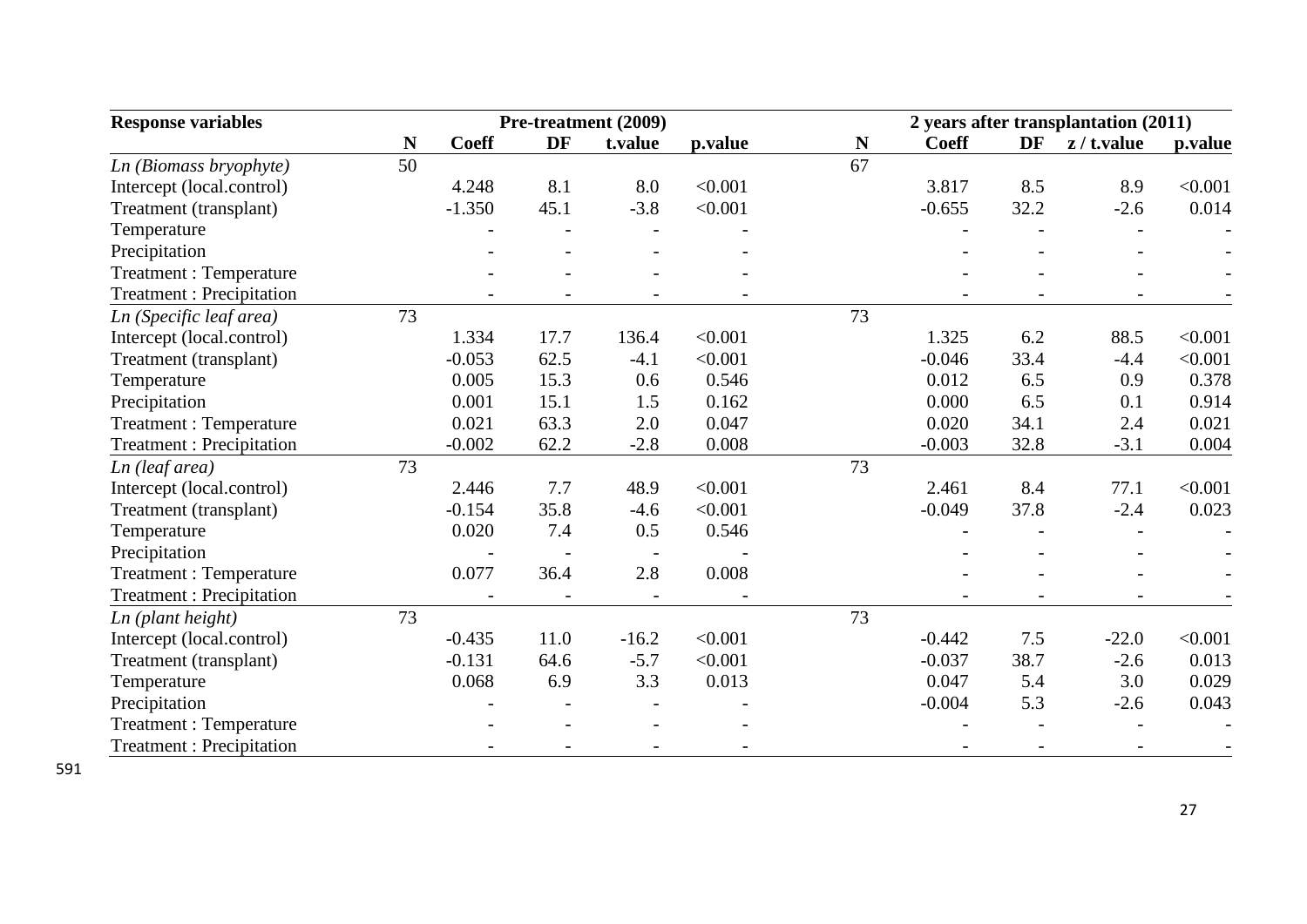| <b>Response variables</b>       | Pre-treatment (2009) |              |      |         |         | 2 years after transplantation (2011) |              |      |                |         |  |
|---------------------------------|----------------------|--------------|------|---------|---------|--------------------------------------|--------------|------|----------------|---------|--|
|                                 | N                    | <b>Coeff</b> | DF   | t.value | p.value | N                                    | <b>Coeff</b> | DF   | $z / t$ .value | p.value |  |
| Ln (Biomass bryophyte)          | 50                   |              |      |         |         | 67                                   |              |      |                |         |  |
| Intercept (local.control)       |                      | 4.248        | 8.1  | 8.0     | < 0.001 |                                      | 3.817        | 8.5  | 8.9            | < 0.001 |  |
| Treatment (transplant)          |                      | $-1.350$     | 45.1 | $-3.8$  | < 0.001 |                                      | $-0.655$     | 32.2 | $-2.6$         | 0.014   |  |
| Temperature                     |                      |              |      |         |         |                                      |              |      |                |         |  |
| Precipitation                   |                      |              |      |         |         |                                      |              |      |                |         |  |
| <b>Treatment: Temperature</b>   |                      |              |      |         |         |                                      |              |      |                |         |  |
| <b>Treatment: Precipitation</b> |                      |              |      |         |         |                                      |              |      |                |         |  |
| Ln (Specific leaf area)         | 73                   |              |      |         |         | 73                                   |              |      |                |         |  |
| Intercept (local.control)       |                      | 1.334        | 17.7 | 136.4   | < 0.001 |                                      | 1.325        | 6.2  | 88.5           | < 0.001 |  |
| Treatment (transplant)          |                      | $-0.053$     | 62.5 | $-4.1$  | < 0.001 |                                      | $-0.046$     | 33.4 | $-4.4$         | < 0.001 |  |
| Temperature                     |                      | 0.005        | 15.3 | 0.6     | 0.546   |                                      | 0.012        | 6.5  | 0.9            | 0.378   |  |
| Precipitation                   |                      | 0.001        | 15.1 | 1.5     | 0.162   |                                      | 0.000        | 6.5  | 0.1            | 0.914   |  |
| <b>Treatment: Temperature</b>   |                      | 0.021        | 63.3 | 2.0     | 0.047   |                                      | 0.020        | 34.1 | 2.4            | 0.021   |  |
| <b>Treatment: Precipitation</b> |                      | $-0.002$     | 62.2 | $-2.8$  | 0.008   |                                      | $-0.003$     | 32.8 | $-3.1$         | 0.004   |  |
| Ln (leaf area)                  | 73                   |              |      |         |         | 73                                   |              |      |                |         |  |
| Intercept (local.control)       |                      | 2.446        | 7.7  | 48.9    | < 0.001 |                                      | 2.461        | 8.4  | 77.1           | < 0.001 |  |
| Treatment (transplant)          |                      | $-0.154$     | 35.8 | $-4.6$  | < 0.001 |                                      | $-0.049$     | 37.8 | $-2.4$         | 0.023   |  |
| Temperature                     |                      | 0.020        | 7.4  | 0.5     | 0.546   |                                      |              |      |                |         |  |
| Precipitation                   |                      |              |      |         |         |                                      |              |      |                |         |  |
| Treatment : Temperature         |                      | 0.077        | 36.4 | 2.8     | 0.008   |                                      |              |      |                |         |  |
| <b>Treatment: Precipitation</b> |                      |              |      |         |         |                                      |              |      |                |         |  |
| Ln (plant height)               | 73                   |              |      |         |         | 73                                   |              |      |                |         |  |
| Intercept (local.control)       |                      | $-0.435$     | 11.0 | $-16.2$ | < 0.001 |                                      | $-0.442$     | 7.5  | $-22.0$        | < 0.001 |  |
| Treatment (transplant)          |                      | $-0.131$     | 64.6 | $-5.7$  | < 0.001 |                                      | $-0.037$     | 38.7 | $-2.6$         | 0.013   |  |
| Temperature                     |                      | 0.068        | 6.9  | 3.3     | 0.013   |                                      | 0.047        | 5.4  | 3.0            | 0.029   |  |
| Precipitation                   |                      |              |      |         |         |                                      | $-0.004$     | 5.3  | $-2.6$         | 0.043   |  |
| <b>Treatment: Temperature</b>   |                      |              |      |         |         |                                      |              |      |                |         |  |
| <b>Treatment: Precipitation</b> |                      |              |      |         |         |                                      |              |      |                |         |  |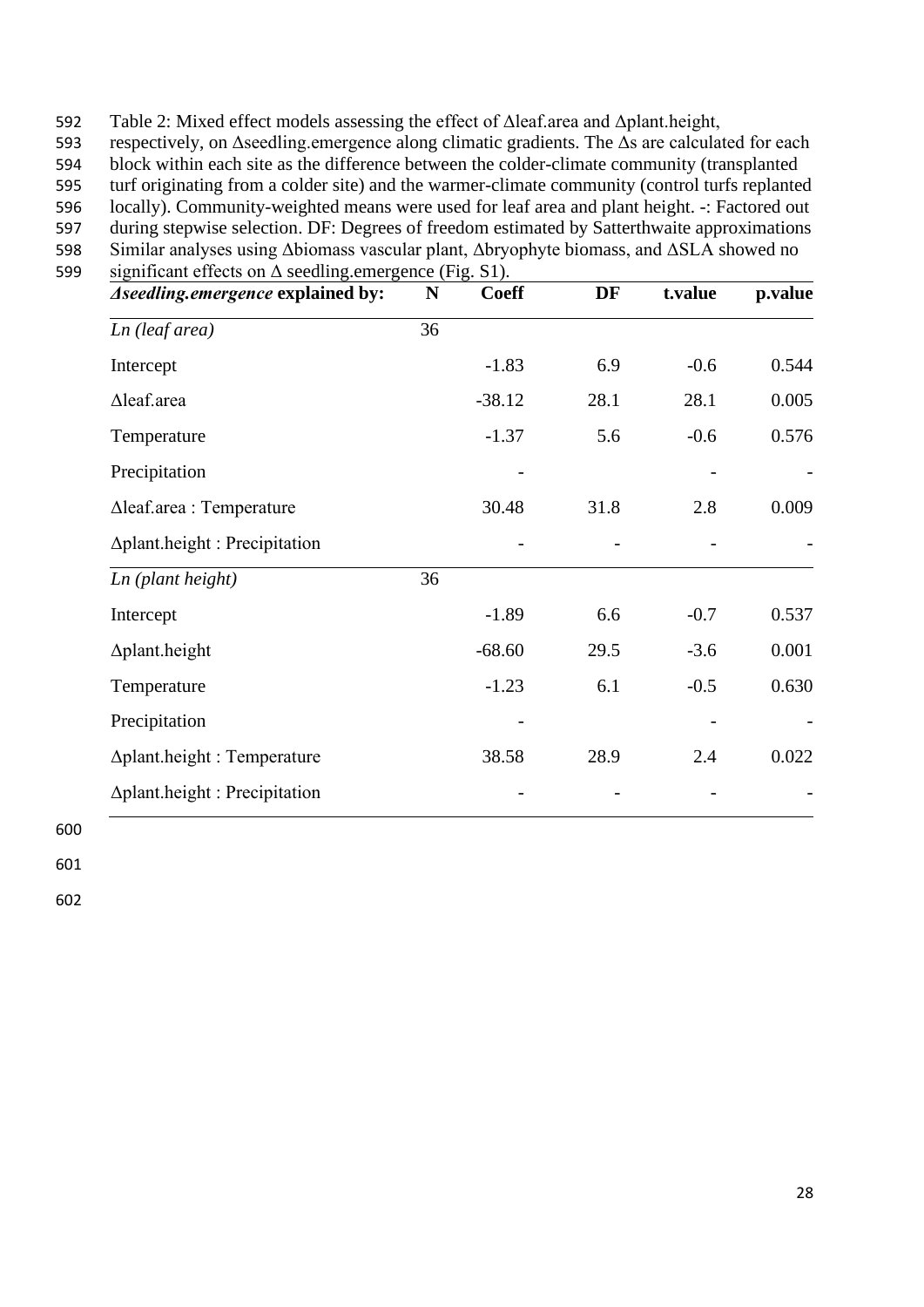592 Table 2: Mixed effect models assessing the effect of Δleaf.area and Δplant.height,

593 respectively, on Δseedling.emergence along climatic gradients. The Δs are calculated for each

594 block within each site as the difference between the colder-climate community (transplanted

595 turf originating from a colder site) and the warmer-climate community (control turfs replanted

596 locally). Community-weighted means were used for leaf area and plant height. -: Factored out

597 during stepwise selection. DF: Degrees of freedom estimated by Satterthwaite approximations 598 Similar analyses using Δbiomass vascular plant, Δbryophyte biomass, and ΔSLA showed no

599 significant effects on Δ seedling.emergence (Fig. S1).

| Aseedling.emergence explained by:    | ${\bf N}$ | <b>Coeff</b> | DF   | t.value | p.value |
|--------------------------------------|-----------|--------------|------|---------|---------|
| Ln (leaf area)                       | 36        |              |      |         |         |
| Intercept                            |           | $-1.83$      | 6.9  | $-0.6$  | 0.544   |
| ∆leaf.area                           |           | $-38.12$     | 28.1 | 28.1    | 0.005   |
| Temperature                          |           | $-1.37$      | 5.6  | $-0.6$  | 0.576   |
| Precipitation                        |           |              |      |         |         |
| $\Delta$ leaf.area : Temperature     |           | 30.48        | 31.8 | 2.8     | 0.009   |
| $\Delta$ plant.height: Precipitation |           |              |      |         |         |
| Ln (plant height)                    | 36        |              |      |         |         |
| Intercept                            |           | $-1.89$      | 6.6  | $-0.7$  | 0.537   |
| $\Delta$ plant.height                |           | $-68.60$     | 29.5 | $-3.6$  | 0.001   |
| Temperature                          |           | $-1.23$      | 6.1  | $-0.5$  | 0.630   |
| Precipitation                        |           |              |      |         |         |
| $\Delta$ plant.height: Temperature   |           | 38.58        | 28.9 | 2.4     | 0.022   |
| ∆plant.height: Precipitation         |           |              |      |         |         |

600

601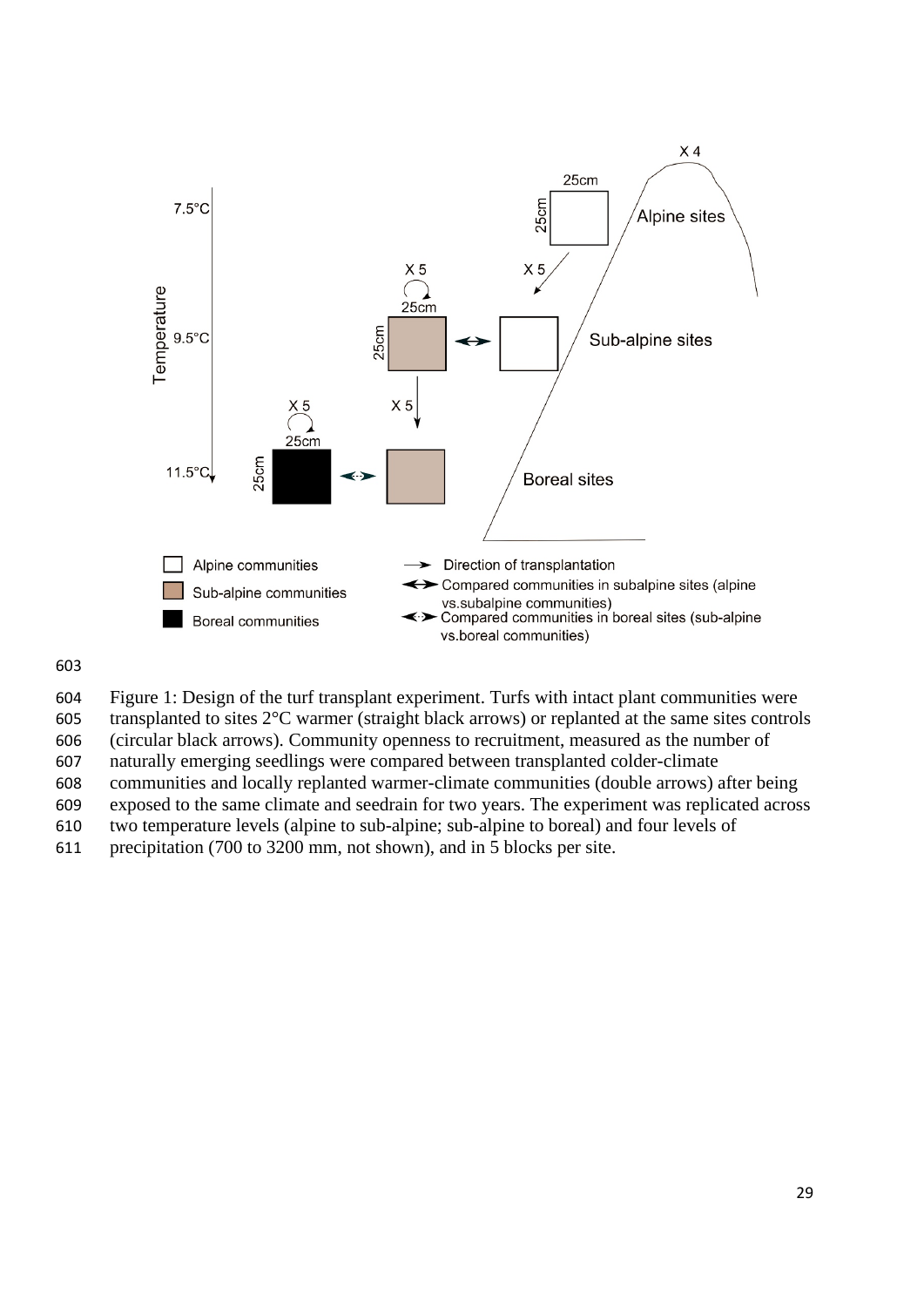

Figure 1: Design of the turf transplant experiment. Turfs with intact plant communities were

transplanted to sites 2°C warmer (straight black arrows) or replanted at the same sites controls

(circular black arrows). Community openness to recruitment, measured as the number of

naturally emerging seedlings were compared between transplanted colder-climate

communities and locally replanted warmer-climate communities (double arrows) after being

exposed to the same climate and seedrain for two years. The experiment was replicated across

two temperature levels (alpine to sub-alpine; sub-alpine to boreal) and four levels of

precipitation (700 to 3200 mm, not shown), and in 5 blocks per site.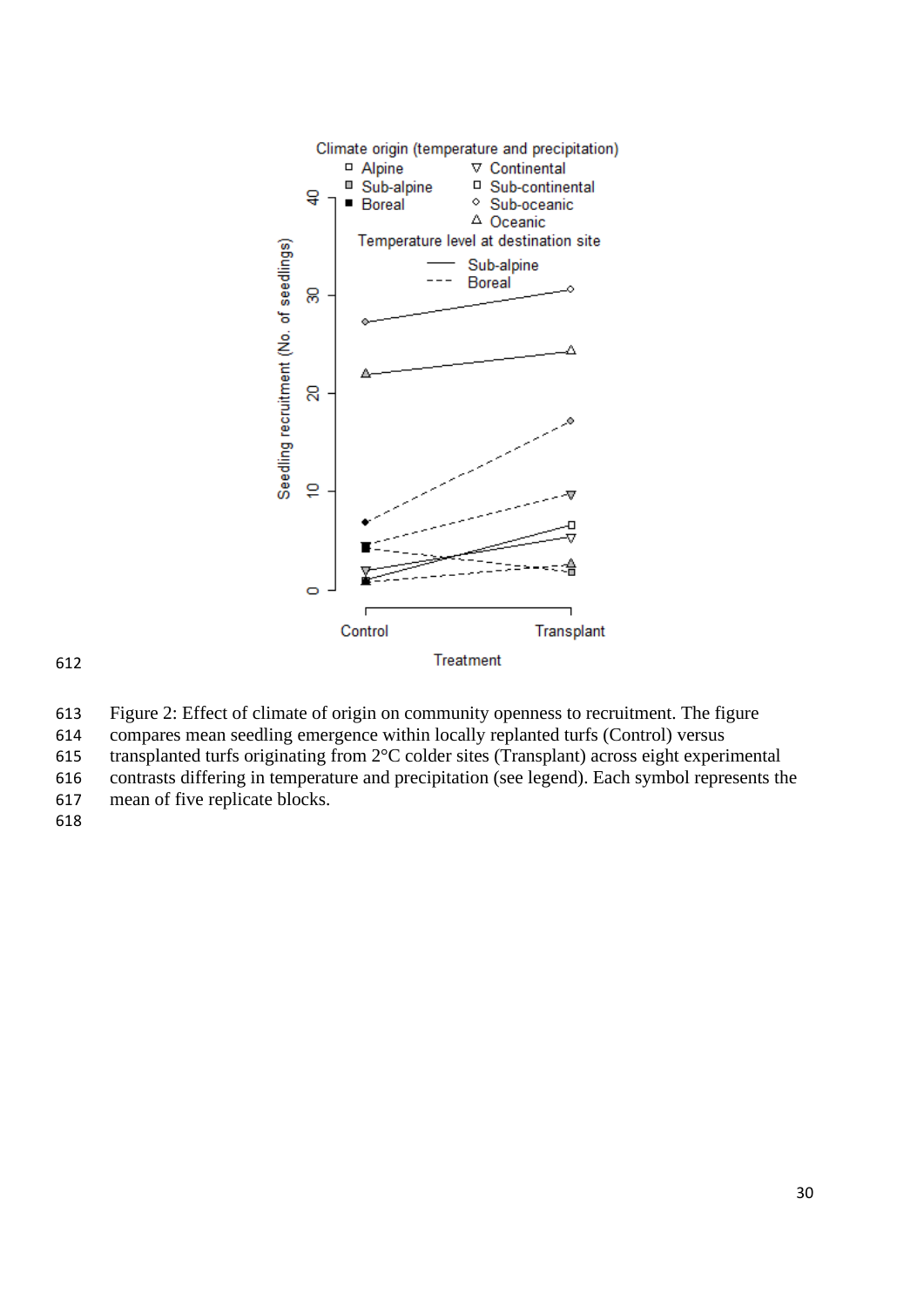

Figure 2: Effect of climate of origin on community openness to recruitment. The figure

compares mean seedling emergence within locally replanted turfs (Control) versus

transplanted turfs originating from 2°C colder sites (Transplant) across eight experimental

contrasts differing in temperature and precipitation (see legend). Each symbol represents the

mean of five replicate blocks.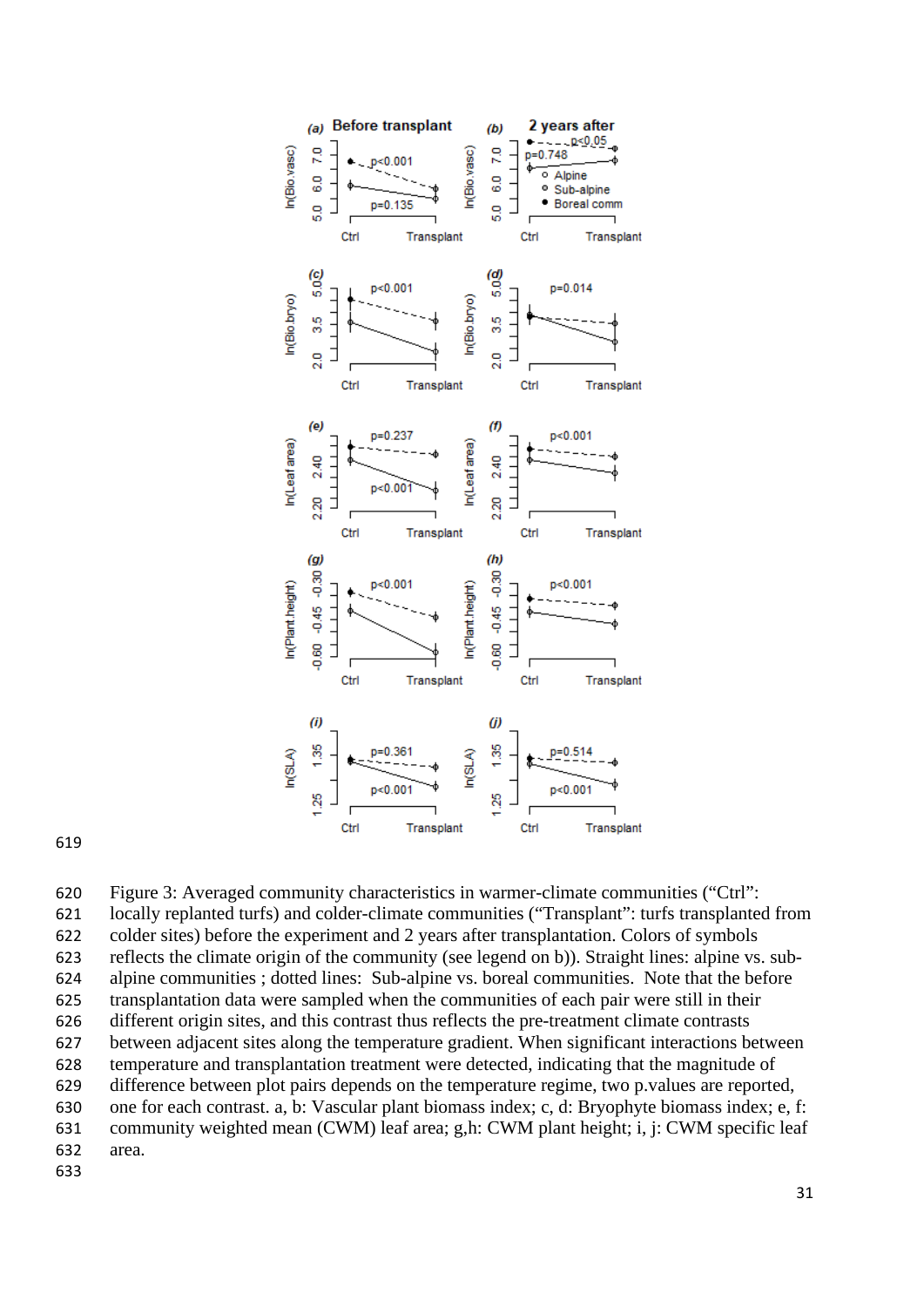

 Figure 3: Averaged community characteristics in warmer-climate communities ("Ctrl": locally replanted turfs) and colder-climate communities ("Transplant": turfs transplanted from colder sites) before the experiment and 2 years after transplantation. Colors of symbols reflects the climate origin of the community (see legend on b)). Straight lines: alpine vs. sub- alpine communities ; dotted lines: Sub-alpine vs. boreal communities. Note that the before transplantation data were sampled when the communities of each pair were still in their different origin sites, and this contrast thus reflects the pre-treatment climate contrasts between adjacent sites along the temperature gradient. When significant interactions between temperature and transplantation treatment were detected, indicating that the magnitude of difference between plot pairs depends on the temperature regime, two p.values are reported, one for each contrast. a, b: Vascular plant biomass index; c, d: Bryophyte biomass index; e, f: community weighted mean (CWM) leaf area; g,h: CWM plant height; i, j: CWM specific leaf area.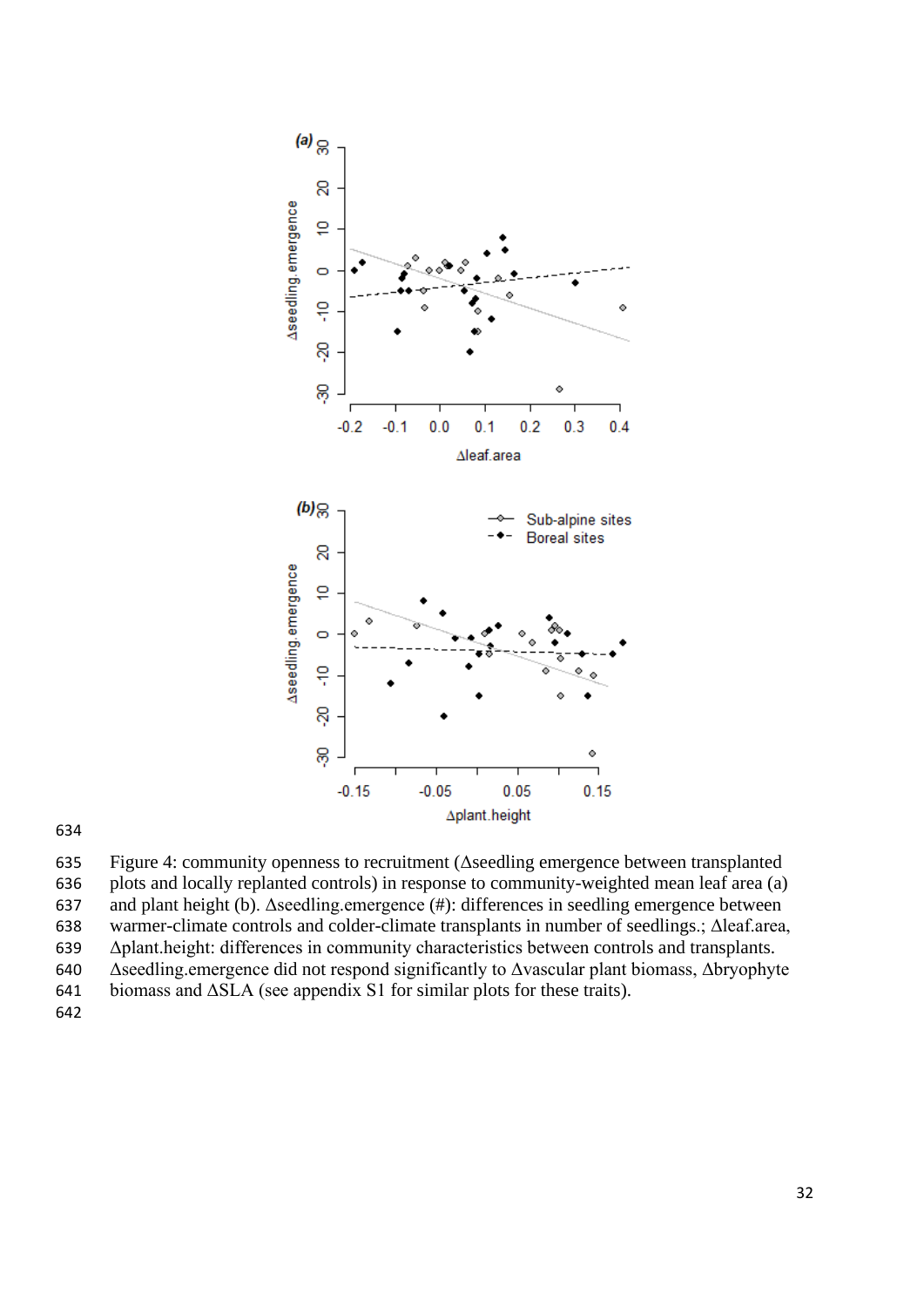

 Figure 4: community openness to recruitment (Δseedling emergence between transplanted plots and locally replanted controls) in response to community-weighted mean leaf area (a) and plant height (b). Δseedling.emergence (#): differences in seedling emergence between warmer-climate controls and colder-climate transplants in number of seedlings.; Δleaf.area, Δplant.height: differences in community characteristics between controls and transplants. Δseedling.emergence did not respond significantly to Δvascular plant biomass, Δbryophyte biomass and ΔSLA (see appendix S1 for similar plots for these traits).